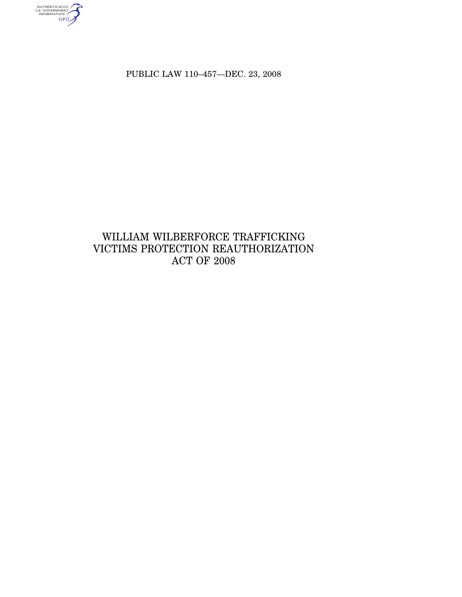PUBLIC LAW 110–457—DEC. 23, 2008

AUTHENTICATED<br>U.S. GOVERNMENT<br>INFORMATION

# WILLIAM WILBERFORCE TRAFFICKING VICTIMS PROTECTION REAUTHORIZATION ACT OF 2008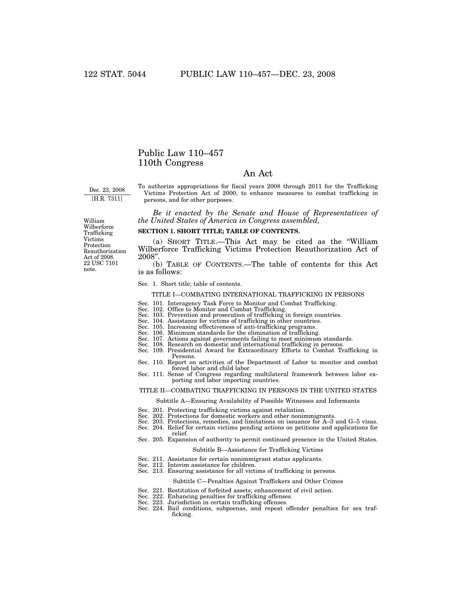# Public Law 110–457 110th Congress

# An Act

Dec. 23, 2008 [H.R. 7311]

To authorize appropriations for fiscal years 2008 through 2011 for the Trafficking Victims Protection Act of 2000, to enhance measures to combat trafficking in persons, and for other purposes.

*Be it enacted by the Senate and House of Representatives of the United States of America in Congress assembled,* 

### **SECTION 1. SHORT TITLE; TABLE OF CONTENTS.**

(a) SHORT TITLE.—This Act may be cited as the ''William Wilberforce Trafficking Victims Protection Reauthorization Act of 2008''.

(b) TABLE OF CONTENTS.—The table of contents for this Act is as follows:

#### Sec. 1. Short title; table of contents.

#### TITLE I—COMBATING INTERNATIONAL TRAFFICKING IN PERSONS

- Sec. 101. Interagency Task Force to Monitor and Combat Trafficking.
- Sec. 102. Office to Monitor and Combat Trafficking.
- Sec. 103. Prevention and prosecution of trafficking in foreign countries. Sec. 104. Assistance for victims of trafficking in other countries.
- 
- 
- Sec. 105. Increasing effectiveness of anti-trafficking programs. Sec. 106. Minimum standards for the elimination of trafficking.
- 
- 
- Sec. 107. Actions against governments failing to meet minimum standards.<br>Sec. 108. Research on domestic and international trafficking in persons.<br>Sec. 109. Presidential Award for Extraordinary Efforts to Combat Trafficking Persons.
- Sec. 110. Report on activities of the Department of Labor to monitor and combat forced labor and child labor.
- Sec. 111. Sense of Congress regarding multilateral framework between labor exporting and labor importing countries.

### TITLE II—COMBATING TRAFFICKING IN PERSONS IN THE UNITED STATES

#### Subtitle A—Ensuring Availability of Possible Witnesses and Informants

- Sec. 201. Protecting trafficking victims against retaliation.
- Sec. 202. Protections for domestic workers and other nonimmigrants.
- Sec. 203. Protections, remedies, and limitations on issuance for A–3 and G–5 visas.
- Sec. 204. Relief for certain victims pending actions on petitions and applications for
	- relief.
- Sec. 205. Expansion of authority to permit continued presence in the United States.

### Subtitle B—Assistance for Trafficking Victims

- Sec. 211. Assistance for certain nonimmigrant status applicants. Sec. 212. Interim assistance for children.
	-

# Sec. 213. Ensuring assistance for all victims of trafficking in persons.

### Subtitle C—Penalties Against Traffickers and Other Crimes

- Sec. 221. Restitution of forfeited assets; enhancement of civil action. Sec. 222. Enhancing penalties for trafficking offenses.
- 
- Sec. 222. Enhancing penalties for trafficking offenses.<br>Sec. 223. Jurisdiction in certain trafficking offenses. Jurisdiction in certain trafficking offenses.
- Sec. 224. Bail conditions, subpoenas, and repeat offender penalties for sex trafficking.

22 USC 7101 note. William Wilberforce Trafficking Victims Protection Reauthorization Act of 2008.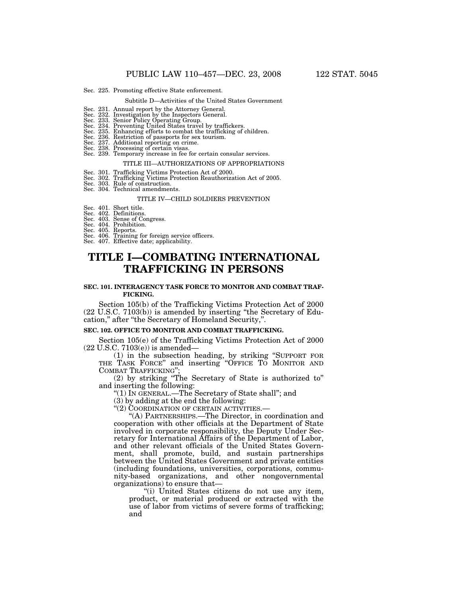Sec. 225. Promoting effective State enforcement.

#### Subtitle D—Activities of the United States Government

#### Sec. 231. Annual report by the Attorney General.

- 
- Sec. 232. Investigation by the Inspectors General.<br>Sec. 233. Senior Policy Operating Group.<br>Sec. 234. Preventing United States travel by traffickers.<br>Sec. 235. Enhancing efforts to combat the trafficking of children.<br>Sec.
- 
- Sec. 237. Additional reporting on crime.
- 
- Sec. 238. Processing of certain visas. Sec. 239. Temporary increase in fee for certain consular services.

#### TITLE III—AUTHORIZATIONS OF APPROPRIATIONS

- 
- Sec. 301. Trafficking Victims Protection Act of 2000. Sec. 302. Trafficking Victims Protection Reauthorization Act of 2005. Sec. 303. Rule of construction.
- 
- Sec. 304. Technical amendments.

# TITLE IV—CHILD SOLDIERS PREVENTION

- Sec. 401. Short title. Sec. 402. Definitions.
- 
- Sec. 403. Sense of Congress. Sec. 404. Prohibition. Sec. 405. Reports.
- 
- 
- Sec. 406. Training for foreign service officers. Sec. 407. Effective date; applicability.
- 

# **TITLE I—COMBATING INTERNATIONAL TRAFFICKING IN PERSONS**

### **SEC. 101. INTERAGENCY TASK FORCE TO MONITOR AND COMBAT TRAF-FICKING.**

Section 105(b) of the Trafficking Victims Protection Act of 2000 (22 U.S.C. 7103(b)) is amended by inserting ''the Secretary of Education," after "the Secretary of Homeland Security,".

### **SEC. 102. OFFICE TO MONITOR AND COMBAT TRAFFICKING.**

Section 105(e) of the Trafficking Victims Protection Act of 2000 (22 U.S.C. 7103(e)) is amended—

(1) in the subsection heading, by striking ''SUPPORT FOR THE TASK FORCE" and inserting "OFFICE TO MONITOR AND COMBAT TRAFFICKING'';

(2) by striking ''The Secretary of State is authorized to'' and inserting the following:

''(1) IN GENERAL.—The Secretary of State shall''; and

(3) by adding at the end the following:

''(2) COORDINATION OF CERTAIN ACTIVITIES.—

''(A) PARTNERSHIPS.—The Director, in coordination and cooperation with other officials at the Department of State involved in corporate responsibility, the Deputy Under Secretary for International Affairs of the Department of Labor, and other relevant officials of the United States Government, shall promote, build, and sustain partnerships between the United States Government and private entities (including foundations, universities, corporations, community-based organizations, and other nongovernmental organizations) to ensure that—

''(i) United States citizens do not use any item, product, or material produced or extracted with the use of labor from victims of severe forms of trafficking; and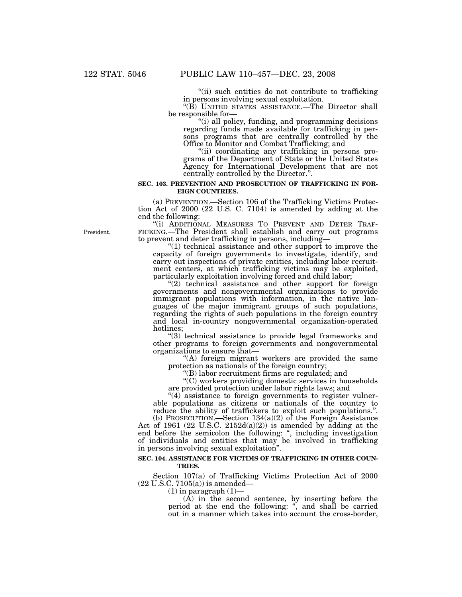''(ii) such entities do not contribute to trafficking in persons involving sexual exploitation.

"(B) UNITED STATES ASSISTANCE.—The Director shall be responsible for—

''(i) all policy, funding, and programming decisions regarding funds made available for trafficking in persons programs that are centrally controlled by the Office to Monitor and Combat Trafficking; and

''(ii) coordinating any trafficking in persons programs of the Department of State or the United States Agency for International Development that are not centrally controlled by the Director.''.

### **SEC. 103. PREVENTION AND PROSECUTION OF TRAFFICKING IN FOR-EIGN COUNTRIES.**

(a) PREVENTION.—Section 106 of the Trafficking Victims Protection Act of 2000 (22 U.S. C. 7104) is amended by adding at the end the following:<br>"(i) ADDITIONAL MEASURES TO PREVENT AND DETER TRAF-

FICKING.—The President shall establish and carry out programs to prevent and deter trafficking in persons, including—

" $(1)$  technical assistance and other support to improve the capacity of foreign governments to investigate, identify, and carry out inspections of private entities, including labor recruitment centers, at which trafficking victims may be exploited, particularly exploitation involving forced and child labor;

 $(2)$  technical assistance and other support for foreign governments and nongovernmental organizations to provide immigrant populations with information, in the native languages of the major immigrant groups of such populations, regarding the rights of such populations in the foreign country and local in-country nongovernmental organization-operated hotlines;

''(3) technical assistance to provide legal frameworks and other programs to foreign governments and nongovernmental organizations to ensure that—

"(A) foreign migrant workers are provided the same protection as nationals of the foreign country;

''(B) labor recruitment firms are regulated; and

''(C) workers providing domestic services in households are provided protection under labor rights laws; and

 $\degree$ (4) assistance to foreign governments to register vulnerable populations as citizens or nationals of the country to reduce the ability of traffickers to exploit such populations.".

(b) PROSECUTION.—Section 134(a)(2) of the Foreign Assistance Act of 1961 (22 U.S.C.  $2152d(a)(2)$ ) is amended by adding at the end before the semicolon the following: '', including investigation of individuals and entities that may be involved in trafficking in persons involving sexual exploitation''.

### **SEC. 104. ASSISTANCE FOR VICTIMS OF TRAFFICKING IN OTHER COUN-TRIES.**

Section 107(a) of Trafficking Victims Protection Act of 2000 (22 U.S.C. 7105(a)) is amended—

 $(1)$  in paragraph  $(1)$ –

(A) in the second sentence, by inserting before the period at the end the following: ", and shall be carried out in a manner which takes into account the cross-border,

President.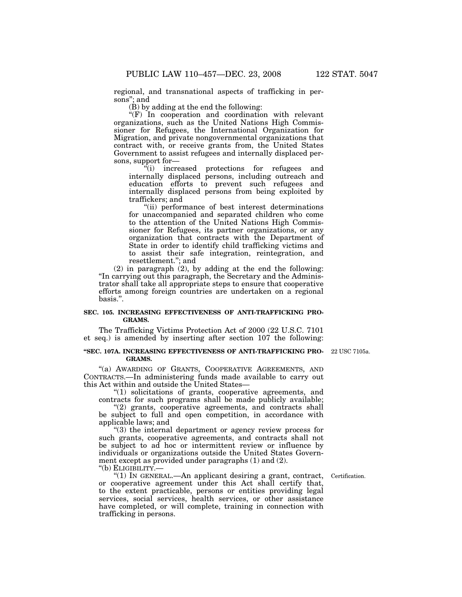regional, and transnational aspects of trafficking in persons''; and

(B) by adding at the end the following:

 $\mathbf{F}(\mathbf{F})$  In cooperation and coordination with relevant organizations, such as the United Nations High Commissioner for Refugees, the International Organization for Migration, and private nongovernmental organizations that contract with, or receive grants from, the United States Government to assist refugees and internally displaced persons, support for—

''(i) increased protections for refugees and internally displaced persons, including outreach and education efforts to prevent such refugees and internally displaced persons from being exploited by traffickers; and

"(ii) performance of best interest determinations for unaccompanied and separated children who come to the attention of the United Nations High Commissioner for Refugees, its partner organizations, or any organization that contracts with the Department of State in order to identify child trafficking victims and to assist their safe integration, reintegration, and resettlement.''; and

(2) in paragraph  $(2)$ , by adding at the end the following: ''In carrying out this paragraph, the Secretary and the Administrator shall take all appropriate steps to ensure that cooperative efforts among foreign countries are undertaken on a regional basis.''.

### **SEC. 105. INCREASING EFFECTIVENESS OF ANTI-TRAFFICKING PRO-GRAMS.**

The Trafficking Victims Protection Act of 2000 (22 U.S.C. 7101 et seq.) is amended by inserting after section 107 the following:

### **''SEC. 107A. INCREASING EFFECTIVENESS OF ANTI-TRAFFICKING PRO-**22 USC 7105a. **GRAMS.**

''(a) AWARDING OF GRANTS, COOPERATIVE AGREEMENTS, AND CONTRACTS.—In administering funds made available to carry out this Act within and outside the United States—

"(1) solicitations of grants, cooperative agreements, and contracts for such programs shall be made publicly available;

''(2) grants, cooperative agreements, and contracts shall be subject to full and open competition, in accordance with applicable laws; and

''(3) the internal department or agency review process for such grants, cooperative agreements, and contracts shall not be subject to ad hoc or intermittent review or influence by individuals or organizations outside the United States Government except as provided under paragraphs (1) and (2).

''(b) ELIGIBILITY.—

''(1) IN GENERAL.—An applicant desiring a grant, contract, or cooperative agreement under this Act shall certify that, to the extent practicable, persons or entities providing legal services, social services, health services, or other assistance have completed, or will complete, training in connection with trafficking in persons.

Certification.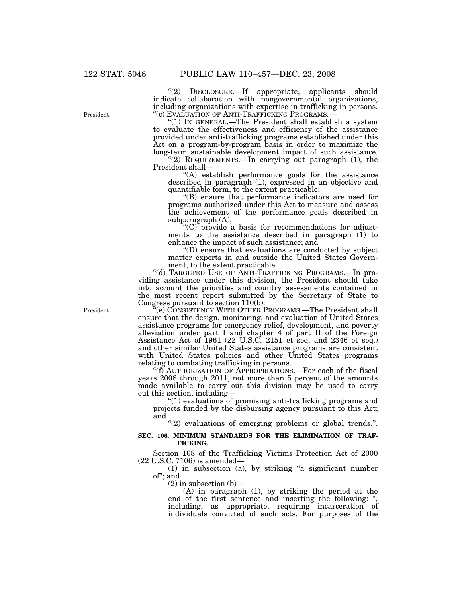''(2) DISCLOSURE.—If appropriate, applicants should indicate collaboration with nongovernmental organizations, including organizations with expertise in trafficking in persons. "(c) EVALUATION OF ANTI-TRAFFICKING PROGRAMS.—

"(1) IN GENERAL.—The President shall establish a system to evaluate the effectiveness and efficiency of the assistance provided under anti-trafficking programs established under this Act on a program-by-program basis in order to maximize the long-term sustainable development impact of such assistance.

''(2) REQUIREMENTS.—In carrying out paragraph (1), the President shall—

"(A) establish performance goals for the assistance described in paragraph (1), expressed in an objective and quantifiable form, to the extent practicable;

''(B) ensure that performance indicators are used for programs authorized under this Act to measure and assess the achievement of the performance goals described in subparagraph (A);

''(C) provide a basis for recommendations for adjustments to the assistance described in paragraph (1) to enhance the impact of such assistance; and

''(D) ensure that evaluations are conducted by subject matter experts in and outside the United States Government, to the extent practicable.

''(d) TARGETED USE OF ANTI-TRAFFICKING PROGRAMS.—In providing assistance under this division, the President should take into account the priorities and country assessments contained in the most recent report submitted by the Secretary of State to Congress pursuant to section 110(b).

(e) CONSISTENCY WITH OTHER PROGRAMS.—The President shall ensure that the design, monitoring, and evaluation of United States assistance programs for emergency relief, development, and poverty alleviation under part I and chapter 4 of part II of the Foreign Assistance Act of 1961 (22 U.S.C. 2151 et seq. and 2346 et seq.) and other similar United States assistance programs are consistent with United States policies and other United States programs relating to combating trafficking in persons.

''(f) AUTHORIZATION OF APPROPRIATIONS.—For each of the fiscal years 2008 through 2011, not more than 5 percent of the amounts made available to carry out this division may be used to carry out this section, including—

''(1) evaluations of promising anti-trafficking programs and projects funded by the disbursing agency pursuant to this Act; and

''(2) evaluations of emerging problems or global trends.''.

### **SEC. 106. MINIMUM STANDARDS FOR THE ELIMINATION OF TRAF-FICKING.**

Section 108 of the Trafficking Victims Protection Act of 2000 (22 U.S.C. 7106) is amended—

 $(1)$  in subsection  $(a)$ , by striking "a significant number of''; and

 $(2)$  in subsection  $(b)$ —

(A) in paragraph (1), by striking the period at the end of the first sentence and inserting the following: including, as appropriate, requiring incarceration of individuals convicted of such acts. For purposes of the

President.

President.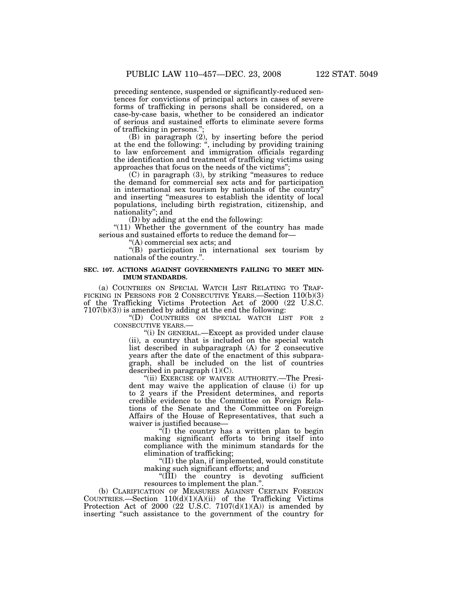preceding sentence, suspended or significantly-reduced sentences for convictions of principal actors in cases of severe forms of trafficking in persons shall be considered, on a case-by-case basis, whether to be considered an indicator of serious and sustained efforts to eliminate severe forms of trafficking in persons.'';

(B) in paragraph (2), by inserting before the period at the end the following: '', including by providing training to law enforcement and immigration officials regarding the identification and treatment of trafficking victims using approaches that focus on the needs of the victims'';

(C) in paragraph (3), by striking ''measures to reduce the demand for commercial sex acts and for participation in international sex tourism by nationals of the country'' and inserting ''measures to establish the identity of local populations, including birth registration, citizenship, and nationality''; and

(D) by adding at the end the following:

" $(11)$  Whether the government of the country has made serious and sustained efforts to reduce the demand for—

 $\mathcal{F}(A)$  commercial sex acts; and

''(B) participation in international sex tourism by nationals of the country.''.

### **SEC. 107. ACTIONS AGAINST GOVERNMENTS FAILING TO MEET MIN-IMUM STANDARDS.**

(a) COUNTRIES ON SPECIAL WATCH LIST RELATING TO TRAF-FICKING IN PERSONS FOR 2 CONSECUTIVE YEARS.—Section 110(b)(3) of the Trafficking Victims Protection Act of 2000 (22 U.S.C. 7107(b)(3)) is amended by adding at the end the following:

''(D) COUNTRIES ON SPECIAL WATCH LIST FOR 2 CONSECUTIVE YEARS.—

''(i) IN GENERAL.—Except as provided under clause (ii), a country that is included on the special watch list described in subparagraph (A) for 2 consecutive years after the date of the enactment of this subparagraph, shall be included on the list of countries described in paragraph  $(1)(C)$ .

''(ii) EXERCISE OF WAIVER AUTHORITY.—The President may waive the application of clause (i) for up to 2 years if the President determines, and reports credible evidence to the Committee on Foreign Relations of the Senate and the Committee on Foreign Affairs of the House of Representatives, that such a waiver is justified because—

''(I) the country has a written plan to begin making significant efforts to bring itself into compliance with the minimum standards for the elimination of trafficking;

''(II) the plan, if implemented, would constitute making such significant efforts; and

"(III) the country is devoting sufficient resources to implement the plan.''.

(b) CLARIFICATION OF MEASURES AGAINST CERTAIN FOREIGN COUNTRIES.—Section  $110(d)(1)(A)(ii)$  of the Trafficking Victims Protection Act of 2000 (22 U.S.C. 7107(d)(1)(A)) is amended by inserting ''such assistance to the government of the country for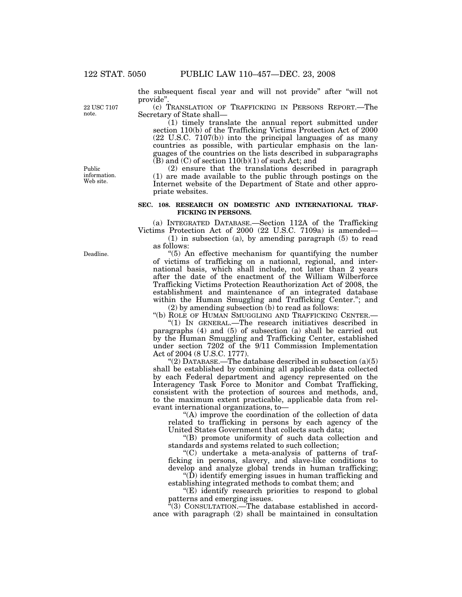the subsequent fiscal year and will not provide'' after ''will not provide''.

22 USC 7107 note.

(c) TRANSLATION OF TRAFFICKING IN PERSONS REPORT.—The Secretary of State shall—

(1) timely translate the annual report submitted under section 110(b) of the Trafficking Victims Protection Act of 2000 (22 U.S.C. 7107(b)) into the principal languages of as many countries as possible, with particular emphasis on the languages of the countries on the lists described in subparagraphs  $(B)$  and  $(C)$  of section 110(b)(1) of such Act; and

(2) ensure that the translations described in paragraph (1) are made available to the public through postings on the Internet website of the Department of State and other appropriate websites.

# **SEC. 108. RESEARCH ON DOMESTIC AND INTERNATIONAL TRAF-FICKING IN PERSONS.**

(a) INTEGRATED DATABASE.—Section 112A of the Trafficking Victims Protection Act of 2000 (22 U.S.C. 7109a) is amended—

(1) in subsection (a), by amending paragraph (5) to read as follows:

''(5) An effective mechanism for quantifying the number of victims of trafficking on a national, regional, and international basis, which shall include, not later than 2 years after the date of the enactment of the William Wilberforce Trafficking Victims Protection Reauthorization Act of 2008, the establishment and maintenance of an integrated database within the Human Smuggling and Trafficking Center."; and (2) by amending subsection (b) to read as follows:

''(b) ROLE OF HUMAN SMUGGLING AND TRAFFICKING CENTER.—

''(1) IN GENERAL.—The research initiatives described in paragraphs (4) and (5) of subsection (a) shall be carried out by the Human Smuggling and Trafficking Center, established under section 7202 of the 9/11 Commission Implementation Act of 2004 (8 U.S.C. 1777).

"(2)  $DATABASE$ .—The database described in subsection (a)(5) shall be established by combining all applicable data collected by each Federal department and agency represented on the Interagency Task Force to Monitor and Combat Trafficking, consistent with the protection of sources and methods, and, to the maximum extent practicable, applicable data from relevant international organizations, to—

''(A) improve the coordination of the collection of data related to trafficking in persons by each agency of the United States Government that collects such data;

''(B) promote uniformity of such data collection and standards and systems related to such collection;

''(C) undertake a meta-analysis of patterns of trafficking in persons, slavery, and slave-like conditions to develop and analyze global trends in human trafficking;  $\mathrm{``(D)}$  identify emerging issues in human trafficking and

establishing integrated methods to combat them; and

 $E(E)$  identify research priorities to respond to global patterns and emerging issues.

''(3) CONSULTATION.—The database established in accordance with paragraph (2) shall be maintained in consultation

Deadline.

Public information. Web site.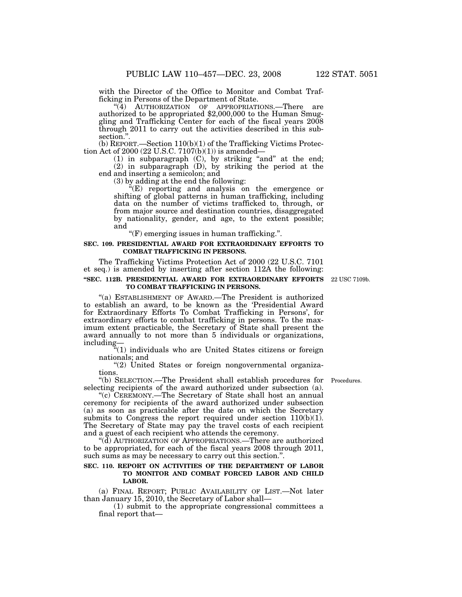with the Director of the Office to Monitor and Combat Trafficking in Persons of the Department of State.

"(4) AUTHORIZATION OF APPROPRIATIONS.—There are authorized to be appropriated \$2,000,000 to the Human Smuggling and Trafficking Center for each of the fiscal years 2008 through 2011 to carry out the activities described in this subsection.".

(b) REPORT.—Section 110(b)(1) of the Trafficking Victims Protection Act of 2000 (22 U.S.C. 7107(b)(1)) is amended—

 $(1)$  in subparagraph  $(C)$ , by striking "and" at the end; (2) in subparagraph (D), by striking the period at the end and inserting a semicolon; and

(3) by adding at the end the following:

''(E) reporting and analysis on the emergence or shifting of global patterns in human trafficking, including data on the number of victims trafficked to, through, or from major source and destination countries, disaggregated by nationality, gender, and age, to the extent possible; and

''(F) emerging issues in human trafficking.''.

### **SEC. 109. PRESIDENTIAL AWARD FOR EXTRAORDINARY EFFORTS TO COMBAT TRAFFICKING IN PERSONS.**

The Trafficking Victims Protection Act of 2000 (22 U.S.C. 7101 et seq.) is amended by inserting after section 112A the following: **''SEC. 112B. PRESIDENTIAL AWARD FOR EXTRAORDINARY EFFORTS**  22 USC 7109b. **TO COMBAT TRAFFICKING IN PERSONS.** 

"(a) ESTABLISHMENT OF AWARD.—The President is authorized to establish an award, to be known as the 'Presidential Award for Extraordinary Efforts To Combat Trafficking in Persons', for extraordinary efforts to combat trafficking in persons. To the maximum extent practicable, the Secretary of State shall present the award annually to not more than 5 individuals or organizations, including—

 $(1)$  individuals who are United States citizens or foreign nationals; and

"(2) United States or foreign nongovernmental organizations.

''(b) SELECTION.—The President shall establish procedures for selecting recipients of the award authorized under subsection (a).

Procedures.

''(c) CEREMONY.—The Secretary of State shall host an annual ceremony for recipients of the award authorized under subsection (a) as soon as practicable after the date on which the Secretary submits to Congress the report required under section 110(b)(1). The Secretary of State may pay the travel costs of each recipient and a guest of each recipient who attends the ceremony.

''(d) AUTHORIZATION OF APPROPRIATIONS.—There are authorized to be appropriated, for each of the fiscal years 2008 through 2011, such sums as may be necessary to carry out this section.''.

# **SEC. 110. REPORT ON ACTIVITIES OF THE DEPARTMENT OF LABOR TO MONITOR AND COMBAT FORCED LABOR AND CHILD LABOR.**

(a) FINAL REPORT; PUBLIC AVAILABILITY OF LIST.—Not later than January 15, 2010, the Secretary of Labor shall—

(1) submit to the appropriate congressional committees a final report that—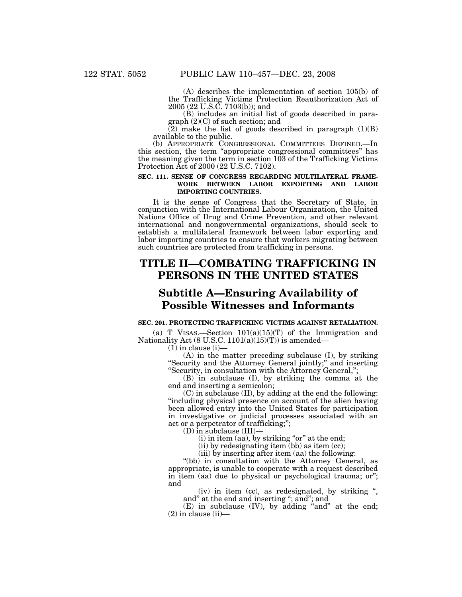(A) describes the implementation of section 105(b) of the Trafficking Victims Protection Reauthorization Act of 2005 (22 U.S.C. 7103(b)); and

(B) includes an initial list of goods described in paragraph (2)(C) of such section; and

 $(2)$  make the list of goods described in paragraph  $(1)(B)$ available to the public.

(b) APPROPRIATE CONGRESSIONAL COMMITTEES DEFINED.—In this section, the term ''appropriate congressional committees'' has the meaning given the term in section 103 of the Trafficking Victims Protection Act of 2000 (22 U.S.C. 7102).

### **SEC. 111. SENSE OF CONGRESS REGARDING MULTILATERAL FRAME-WORK BETWEEN LABOR EXPORTING AND LABOR IMPORTING COUNTRIES.**

It is the sense of Congress that the Secretary of State, in conjunction with the International Labour Organization, the United Nations Office of Drug and Crime Prevention, and other relevant international and nongovernmental organizations, should seek to establish a multilateral framework between labor exporting and labor importing countries to ensure that workers migrating between such countries are protected from trafficking in persons.

# **TITLE II—COMBATING TRAFFICKING IN PERSONS IN THE UNITED STATES**

# **Subtitle A—Ensuring Availability of Possible Witnesses and Informants**

# **SEC. 201. PROTECTING TRAFFICKING VICTIMS AGAINST RETALIATION.**

(a) T VISAS.—Section  $101(a)(15)(T)$  of the Immigration and Nationality Act  $(8 \text{ U.S.C. } 1101(a)(15)(T))$  is amended–

 $(1)$  in clause  $(i)$ —

(A) in the matter preceding subclause (I), by striking ''Security and the Attorney General jointly;'' and inserting ''Security, in consultation with the Attorney General,'';

(B) in subclause (I), by striking the comma at the end and inserting a semicolon;

(C) in subclause (II), by adding at the end the following: ''including physical presence on account of the alien having been allowed entry into the United States for participation in investigative or judicial processes associated with an act or a perpetrator of trafficking;'';

(D) in subclause (III)—

 $(i)$  in item (aa), by striking "or" at the end;

(ii) by redesignating item (bb) as item (cc);

(iii) by inserting after item (aa) the following:

"(bb) in consultation with the Attorney General, as appropriate, is unable to cooperate with a request described in item (aa) due to physical or psychological trauma; or"; and

(iv) in item (cc), as redesignated, by striking '', and'' at the end and inserting ''; and''; and

 $(E)$  in subclause  $(IV)$ , by adding "and" at the end;  $(2)$  in clause  $(ii)$ —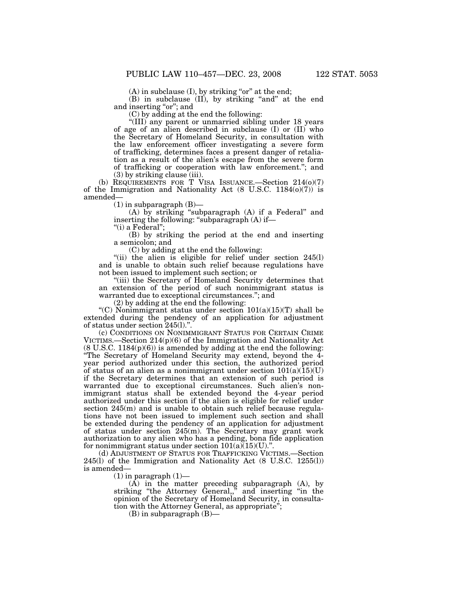$(A)$  in subclause  $(I)$ , by striking "or" at the end;

(B) in subclause (II), by striking "and" at the end and inserting "or"; and

(C) by adding at the end the following:

"(III) any parent or unmarried sibling under 18 years of age of an alien described in subclause (I) or (II) who the Secretary of Homeland Security, in consultation with the law enforcement officer investigating a severe form of trafficking, determines faces a present danger of retaliation as a result of the alien's escape from the severe form of trafficking or cooperation with law enforcement.''; and (3) by striking clause (iii).

(b) REQUIREMENTS FOR T VISA ISSUANCE.—Section  $214(0)(7)$ of the Immigration and Nationality Act (8 U.S.C. 1184(o)(7)) is amended—

 $(1)$  in subparagraph  $(B)$ —

(A) by striking ''subparagraph (A) if a Federal'' and inserting the following: "subparagraph (A) if—

''(i) a Federal'';

(B) by striking the period at the end and inserting a semicolon; and

(C) by adding at the end the following:

"(ii) the alien is eligible for relief under section  $245(1)$ and is unable to obtain such relief because regulations have not been issued to implement such section; or

''(iii) the Secretary of Homeland Security determines that an extension of the period of such nonimmigrant status is warranted due to exceptional circumstances.''; and

(2) by adding at the end the following:

"(C) Nonimmigrant status under section  $101(a)(15)(T)$  shall be extended during the pendency of an application for adjustment of status under section 245(l).''.

(c) CONDITIONS ON NONIMMIGRANT STATUS FOR CERTAIN CRIME VICTIMS.—Section 214(p)(6) of the Immigration and Nationality Act  $(8 \text{ U.S.C. } 1184(p)(6))$  is amended by adding at the end the following: ''The Secretary of Homeland Security may extend, beyond the 4 year period authorized under this section, the authorized period of status of an alien as a nonimmigrant under section  $101(a)(15)(U)$ if the Secretary determines that an extension of such period is warranted due to exceptional circumstances. Such alien's nonimmigrant status shall be extended beyond the 4-year period authorized under this section if the alien is eligible for relief under section 245(m) and is unable to obtain such relief because regulations have not been issued to implement such section and shall be extended during the pendency of an application for adjustment of status under section 245(m). The Secretary may grant work authorization to any alien who has a pending, bona fide application for nonimmigrant status under section  $101(a)(15)(U)$ .".

(d) ADJUSTMENT OF STATUS FOR TRAFFICKING VICTIMS.—Section 245(l) of the Immigration and Nationality Act (8 U.S.C. 1255(l)) is amended—

 $(1)$  in paragraph  $(1)$ —

(A) in the matter preceding subparagraph (A), by striking "the Attorney General,," and inserting "in the opinion of the Secretary of Homeland Security, in consultation with the Attorney General, as appropriate'';

(B) in subparagraph (B)—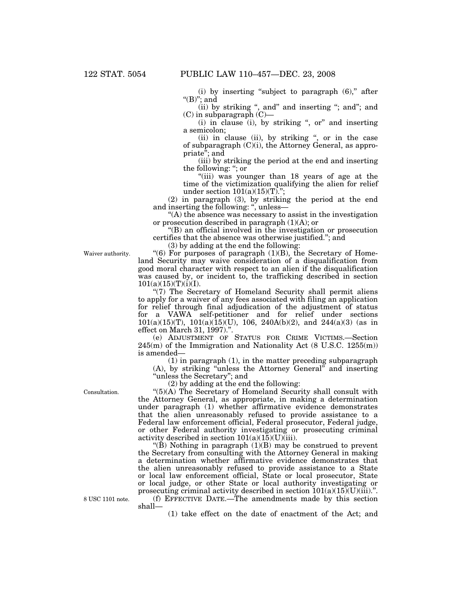(i) by inserting "subject to paragraph  $(6)$ ," after " $(B)$ "; and

(ii) by striking ", and" and inserting "; and"; and (C) in subparagraph (C)—

(i) in clause  $(i)$ , by striking ", or" and inserting a semicolon;

(ii) in clause (ii), by striking '', or in the case of subparagraph  $(C)(i)$ , the Attorney General, as appropriate''; and

(iii) by striking the period at the end and inserting the following: ''; or

''(iii) was younger than 18 years of age at the time of the victimization qualifying the alien for relief under section  $101(a)(15)(T)$ .";

(2) in paragraph (3), by striking the period at the end and inserting the following: '', unless—

 $<sup>9</sup>(A)$  the absence was necessary to assist in the investigation</sup> or prosecution described in paragraph  $(1)(A)$ ; or

''(B) an official involved in the investigation or prosecution certifies that the absence was otherwise justified.''; and

(3) by adding at the end the following:

Waiver authority.

" $(6)$  For purposes of paragraph  $(1)(B)$ , the Secretary of Homeland Security may waive consideration of a disqualification from good moral character with respect to an alien if the disqualification was caused by, or incident to, the trafficking described in section  $101(a)(15)(T)(i)(I).$ 

''(7) The Secretary of Homeland Security shall permit aliens to apply for a waiver of any fees associated with filing an application for relief through final adjudication of the adjustment of status for a VAWA self-petitioner and for relief under sections 101(a)(15)(T), 101(a)(15)(U), 106, 240A(b)(2), and 244(a)(3) (as in effect on March 31, 1997).'

(e) ADJUSTMENT OF STATUS FOR CRIME VICTIMS.—Section  $245(m)$  of the Immigration and Nationality Act (8 U.S.C. 1255 $(m)$ ) is amended—

(1) in paragraph (1), in the matter preceding subparagraph (A), by striking ''unless the Attorney General'' and inserting "unless the Secretary"; and

(2) by adding at the end the following:

''(5)(A) The Secretary of Homeland Security shall consult with the Attorney General, as appropriate, in making a determination under paragraph (1) whether affirmative evidence demonstrates that the alien unreasonably refused to provide assistance to a Federal law enforcement official, Federal prosecutor, Federal judge, or other Federal authority investigating or prosecuting criminal activity described in section  $101(a)(15)(U)(iii)$ .

"(B) Nothing in paragraph  $(1)(B)$  may be construed to prevent the Secretary from consulting with the Attorney General in making a determination whether affirmative evidence demonstrates that the alien unreasonably refused to provide assistance to a State or local law enforcement official, State or local prosecutor, State or local judge, or other State or local authority investigating or prosecuting criminal activity described in section  $101(a)(15)(U)(iii)$ .". (f) EFFECTIVE DATE.—The amendments made by this section

8 USC 1101 note.

shall—

(1) take effect on the date of enactment of the Act; and

Consultation.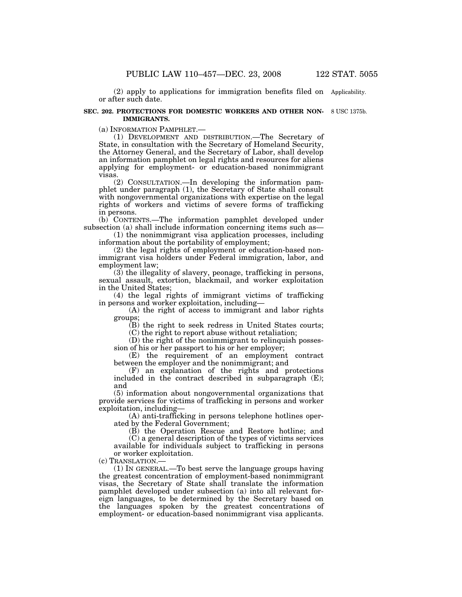(2) apply to applications for immigration benefits filed on Applicability. or after such date.

### **SEC. 202. PROTECTIONS FOR DOMESTIC WORKERS AND OTHER NON-**8 USC 1375b. **IMMIGRANTS.**

(a) INFORMATION PAMPHLET.— (1) DEVELOPMENT AND DISTRIBUTION.—The Secretary of State, in consultation with the Secretary of Homeland Security, the Attorney General, and the Secretary of Labor, shall develop an information pamphlet on legal rights and resources for aliens applying for employment- or education-based nonimmigrant visas.

(2) CONSULTATION.—In developing the information pamphlet under paragraph (1), the Secretary of State shall consult with nongovernmental organizations with expertise on the legal rights of workers and victims of severe forms of trafficking in persons.

(b) CONTENTS.—The information pamphlet developed under subsection (a) shall include information concerning items such as—

(1) the nonimmigrant visa application processes, including information about the portability of employment;

(2) the legal rights of employment or education-based nonimmigrant visa holders under Federal immigration, labor, and employment law;

(3) the illegality of slavery, peonage, trafficking in persons, sexual assault, extortion, blackmail, and worker exploitation in the United States;

(4) the legal rights of immigrant victims of trafficking in persons and worker exploitation, including—

(A) the right of access to immigrant and labor rights groups;

(B) the right to seek redress in United States courts; (C) the right to report abuse without retaliation;

(D) the right of the nonimmigrant to relinquish possession of his or her passport to his or her employer;

(E) the requirement of an employment contract between the employer and the nonimmigrant; and

(F) an explanation of the rights and protections included in the contract described in subparagraph (E); and

(5) information about nongovernmental organizations that provide services for victims of trafficking in persons and worker exploitation, including—

(A) anti-trafficking in persons telephone hotlines operated by the Federal Government;

(B) the Operation Rescue and Restore hotline; and

(C) a general description of the types of victims services available for individuals subject to trafficking in persons or worker exploitation.

(c) TRANSLATION.—

(1) IN GENERAL.—To best serve the language groups having the greatest concentration of employment-based nonimmigrant visas, the Secretary of State shall translate the information pamphlet developed under subsection (a) into all relevant foreign languages, to be determined by the Secretary based on the languages spoken by the greatest concentrations of employment- or education-based nonimmigrant visa applicants.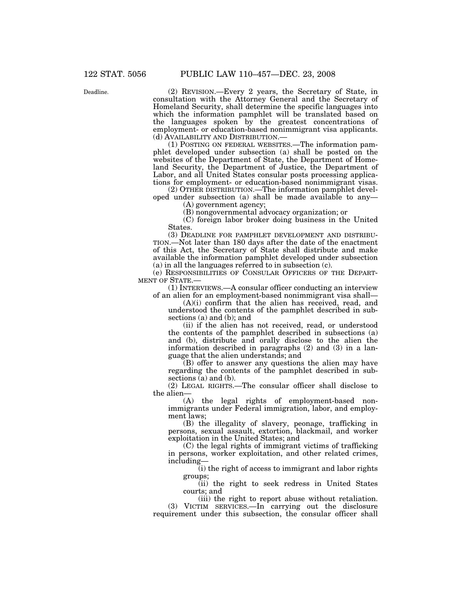Deadline.

(2) REVISION.—Every 2 years, the Secretary of State, in consultation with the Attorney General and the Secretary of Homeland Security, shall determine the specific languages into which the information pamphlet will be translated based on the languages spoken by the greatest concentrations of employment- or education-based nonimmigrant visa applicants.

 $(1)$  POSTING ON FEDERAL WEBSITES.—The information pamphlet developed under subsection (a) shall be posted on the websites of the Department of State, the Department of Homeland Security, the Department of Justice, the Department of Labor, and all United States consular posts processing applications for employment- or education-based nonimmigrant visas.

(2) OTHER DISTRIBUTION.—The information pamphlet developed under subsection (a) shall be made available to any—

(A) government agency; (B) nongovernmental advocacy organization; or

(C) foreign labor broker doing business in the United

States.

(3) DEADLINE FOR PAMPHLET DEVELOPMENT AND DISTRIBU-TION.—Not later than 180 days after the date of the enactment of this Act, the Secretary of State shall distribute and make available the information pamphlet developed under subsection (a) in all the languages referred to in subsection (c).

(e) RESPONSIBILITIES OF CONSULAR OFFICERS OF THE DEPART-MENT OF STATE.—

(1) INTERVIEWS.—A consular officer conducting an interview of an alien for an employment-based nonimmigrant visa shall—

(A)(i) confirm that the alien has received, read, and understood the contents of the pamphlet described in subsections (a) and (b); and

(ii) if the alien has not received, read, or understood the contents of the pamphlet described in subsections (a) and (b), distribute and orally disclose to the alien the information described in paragraphs (2) and (3) in a language that the alien understands; and

(B) offer to answer any questions the alien may have regarding the contents of the pamphlet described in subsections (a) and (b).

(2) LEGAL RIGHTS.—The consular officer shall disclose to the alien—

(A) the legal rights of employment-based nonimmigrants under Federal immigration, labor, and employment laws;

(B) the illegality of slavery, peonage, trafficking in persons, sexual assault, extortion, blackmail, and worker exploitation in the United States; and

(C) the legal rights of immigrant victims of trafficking in persons, worker exploitation, and other related crimes, including—

(i) the right of access to immigrant and labor rights groups;

(ii) the right to seek redress in United States courts; and

(iii) the right to report abuse without retaliation. (3) VICTIM SERVICES.—In carrying out the disclosure requirement under this subsection, the consular officer shall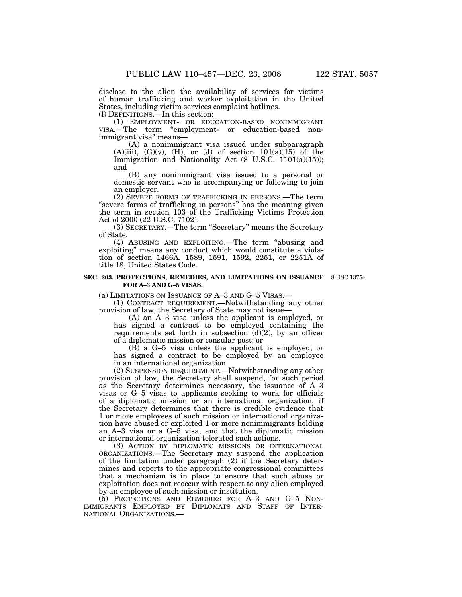disclose to the alien the availability of services for victims of human trafficking and worker exploitation in the United States, including victim services complaint hotlines.

(f) DEFINITIONS.—In this section:

(1) EMPLOYMENT- OR EDUCATION-BASED NONIMMIGRANT "employment- or education-based nonimmigrant visa'' means—

(A) a nonimmigrant visa issued under subparagraph  $(A)(iii)$ ,  $(G)(v)$ ,  $(H)$ , or  $(J)$  of section  $101(a)(15)$  of the Immigration and Nationality Act (8 U.S.C. 1101(a)(15)); and

(B) any nonimmigrant visa issued to a personal or domestic servant who is accompanying or following to join an employer.

(2) SEVERE FORMS OF TRAFFICKING IN PERSONS.—The term "severe forms of trafficking in persons" has the meaning given the term in section 103 of the Trafficking Victims Protection Act of 2000 (22 U.S.C. 7102).

(3) SECRETARY.—The term ''Secretary'' means the Secretary of State.

(4) ABUSING AND EXPLOITING.—The term ''abusing and exploiting'' means any conduct which would constitute a violation of section 1466A, 1589, 1591, 1592, 2251, or 2251A of title 18, United States Code.

#### **SEC. 203. PROTECTIONS, REMEDIES, AND LIMITATIONS ON ISSUANCE**  8 USC 1375c. **FOR A–3 AND G–5 VISAS.**

(a) LIMITATIONS ON ISSUANCE OF A–3 AND G–5 VISAS.—

(1) CONTRACT REQUIREMENT.—Notwithstanding any other provision of law, the Secretary of State may not issue—

(A) an A–3 visa unless the applicant is employed, or has signed a contract to be employed containing the requirements set forth in subsection  $(d)(2)$ , by an officer of a diplomatic mission or consular post; or

(B) a G–5 visa unless the applicant is employed, or has signed a contract to be employed by an employee in an international organization.

(2) SUSPENSION REQUIREMENT.—Notwithstanding any other provision of law, the Secretary shall suspend, for such period as the Secretary determines necessary, the issuance of A–3 visas or G–5 visas to applicants seeking to work for officials of a diplomatic mission or an international organization, if the Secretary determines that there is credible evidence that 1 or more employees of such mission or international organization have abused or exploited 1 or more nonimmigrants holding an A–3 visa or a G–5 visa, and that the diplomatic mission or international organization tolerated such actions.

(3) ACTION BY DIPLOMATIC MISSIONS OR INTERNATIONAL ORGANIZATIONS.—The Secretary may suspend the application of the limitation under paragraph (2) if the Secretary determines and reports to the appropriate congressional committees that a mechanism is in place to ensure that such abuse or exploitation does not reoccur with respect to any alien employed by an employee of such mission or institution.

(b) PROTECTIONS AND REMEDIES FOR A–3 AND G–5 NON-IMMIGRANTS EMPLOYED BY DIPLOMATS AND STAFF OF INTER- NATIONAL ORGANIZATIONS.—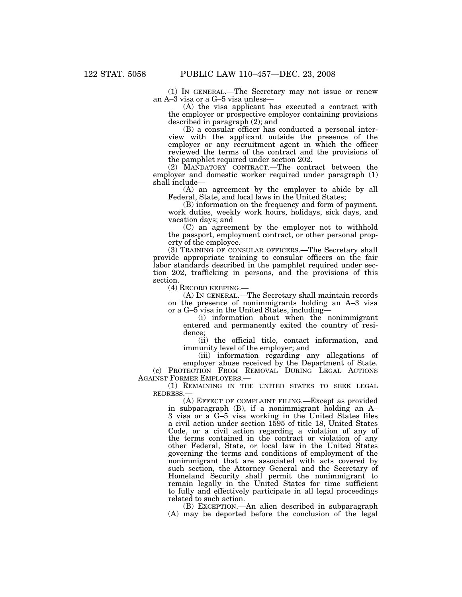(1) IN GENERAL.—The Secretary may not issue or renew an A–3 visa or a G–5 visa unless—

(A) the visa applicant has executed a contract with the employer or prospective employer containing provisions described in paragraph (2); and

(B) a consular officer has conducted a personal interview with the applicant outside the presence of the employer or any recruitment agent in which the officer reviewed the terms of the contract and the provisions of the pamphlet required under section 202.

(2) MANDATORY CONTRACT.—The contract between the employer and domestic worker required under paragraph (1) shall include—

(A) an agreement by the employer to abide by all Federal, State, and local laws in the United States;

(B) information on the frequency and form of payment, work duties, weekly work hours, holidays, sick days, and vacation days; and

(C) an agreement by the employer not to withhold the passport, employment contract, or other personal property of the employee.

(3) TRAINING OF CONSULAR OFFICERS.—The Secretary shall provide appropriate training to consular officers on the fair labor standards described in the pamphlet required under section 202, trafficking in persons, and the provisions of this section.

(4) RECORD KEEPING.—

(A) IN GENERAL.—The Secretary shall maintain records on the presence of nonimmigrants holding an A–3 visa or a G–5 visa in the United States, including—

(i) information about when the nonimmigrant entered and permanently exited the country of residence;

(ii) the official title, contact information, and immunity level of the employer; and

(iii) information regarding any allegations of

employer abuse received by the Department of State. (c) PROTECTION FROM REMOVAL DURING LEGAL ACTIONS AGAINST FORMER EMPLOYERS.—

(1) REMAINING IN THE UNITED STATES TO SEEK LEGAL REDRESS.—

(A) EFFECT OF COMPLAINT FILING.—Except as provided in subparagraph (B), if a nonimmigrant holding an A– 3 visa or a G–5 visa working in the United States files a civil action under section 1595 of title 18, United States Code, or a civil action regarding a violation of any of the terms contained in the contract or violation of any other Federal, State, or local law in the United States governing the terms and conditions of employment of the nonimmigrant that are associated with acts covered by such section, the Attorney General and the Secretary of Homeland Security shall permit the nonimmigrant to remain legally in the United States for time sufficient to fully and effectively participate in all legal proceedings related to such action.

(B) EXCEPTION.—An alien described in subparagraph (A) may be deported before the conclusion of the legal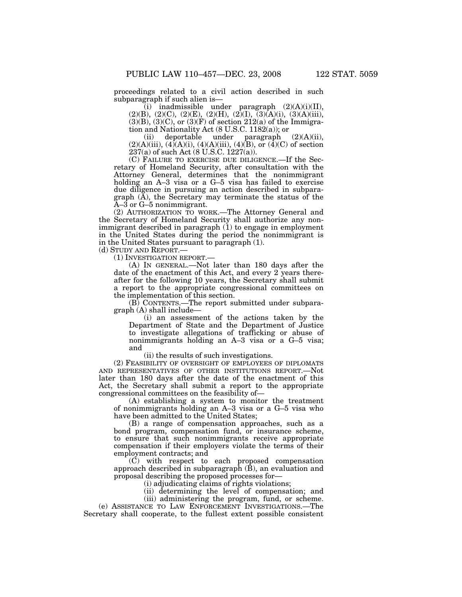proceedings related to a civil action described in such subparagraph if such alien is—

 $(i)$  inadmissible under paragraph  $(2)(A)(i)(II)$ ,  $(2)(B)$ ,  $(2)(C)$ ,  $(2)(E)$ ,  $(2)(H)$ ,  $(2)(I)$ ,  $(3)(A)(i)$ ,  $(3)(A)(iii)$ ,  $(3)(B)$ ,  $(3)(C)$ , or  $(3)(F)$  of section  $212(a)$  of the Immigration and Nationality Act (8 U.S.C. 1182(a)); or

(ii) deportable under paragraph (2)(A)(ii),  $(2)(\overrightarrow{A})(iii)$ ,  $(4)(\overrightarrow{A})(i)$ ,  $(4)(\overrightarrow{A})(iii)$ ,  $(4)(\overrightarrow{B})$ , or  $(4)(\overrightarrow{C})$  of section 237(a) of such Act (8 U.S.C. 1227(a)).

(C) FAILURE TO EXERCISE DUE DILIGENCE.—If the Secretary of Homeland Security, after consultation with the Attorney General, determines that the nonimmigrant holding an A–3 visa or a G–5 visa has failed to exercise due diligence in pursuing an action described in subparagraph  $(\tilde{A})$ , the Secretary may terminate the status of the A–3 or G–5 nonimmigrant.

(2) AUTHORIZATION TO WORK.—The Attorney General and the Secretary of Homeland Security shall authorize any nonimmigrant described in paragraph  $(i)$  to engage in employment in the United States during the period the nonimmigrant is in the United States pursuant to paragraph (1).

(d) STUDY AND REPORT.—

(1) INVESTIGATION REPORT.—

(A) IN GENERAL.—Not later than 180 days after the date of the enactment of this Act, and every 2 years thereafter for the following 10 years, the Secretary shall submit a report to the appropriate congressional committees on the implementation of this section.

(B) CONTENTS.—The report submitted under subparagraph (A) shall include—

(i) an assessment of the actions taken by the Department of State and the Department of Justice to investigate allegations of trafficking or abuse of nonimmigrants holding an A–3 visa or a G–5 visa; and

(ii) the results of such investigations.

(2) FEASIBILITY OF OVERSIGHT OF EMPLOYEES OF DIPLOMATS AND REPRESENTATIVES OF OTHER INSTITUTIONS REPORT.—Not later than 180 days after the date of the enactment of this Act, the Secretary shall submit a report to the appropriate congressional committees on the feasibility of—

(A) establishing a system to monitor the treatment of nonimmigrants holding an A–3 visa or a G–5 visa who have been admitted to the United States;

(B) a range of compensation approaches, such as a bond program, compensation fund, or insurance scheme, to ensure that such nonimmigrants receive appropriate compensation if their employers violate the terms of their employment contracts; and

(C) with respect to each proposed compensation approach described in subparagraph  $(\dot{B})$ , an evaluation and proposal describing the proposed processes for—

(i) adjudicating claims of rights violations;

(ii) determining the level of compensation; and

(iii) administering the program, fund, or scheme. (e) ASSISTANCE TO LAW ENFORCEMENT INVESTIGATIONS.—The Secretary shall cooperate, to the fullest extent possible consistent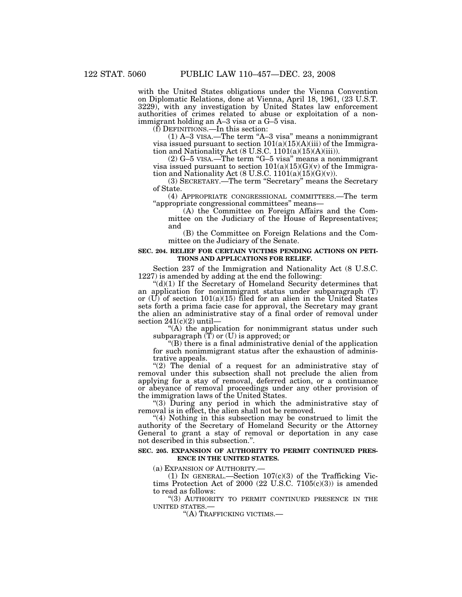with the United States obligations under the Vienna Convention on Diplomatic Relations, done at Vienna, April 18, 1961, (23 U.S.T. 3229), with any investigation by United States law enforcement authorities of crimes related to abuse or exploitation of a nonimmigrant holding an A–3 visa or a G–5 visa.

(f) DEFINITIONS.—In this section:

(1) A–3 VISA.—The term ''A–3 visa'' means a nonimmigrant visa issued pursuant to section  $101(a)(15)(A)(iii)$  of the Immigration and Nationality Act (8 U.S.C. 1101(a)(15)(A)(iii)).

(2) G–5 VISA.—The term ''G–5 visa'' means a nonimmigrant visa issued pursuant to section  $101(a)(15)(G)(v)$  of the Immigration and Nationality Act (8 U.S.C.  $1101(a)(15)(G)(v)$ ).

(3) SECRETARY.—The term ''Secretary'' means the Secretary of State.

(4) APPROPRIATE CONGRESSIONAL COMMITTEES.—The term ''appropriate congressional committees'' means—

(A) the Committee on Foreign Affairs and the Committee on the Judiciary of the House of Representatives; and

(B) the Committee on Foreign Relations and the Committee on the Judiciary of the Senate.

### **SEC. 204. RELIEF FOR CERTAIN VICTIMS PENDING ACTIONS ON PETI-TIONS AND APPLICATIONS FOR RELIEF.**

Section 237 of the Immigration and Nationality Act (8 U.S.C. 1227) is amended by adding at the end the following:

 $\text{``(d)}(1)$  If the Secretary of Homeland Security determines that an application for nonimmigrant status under subparagraph (T) or  $(\vec{U})$  of section 101(a)(15) filed for an alien in the United States sets forth a prima facie case for approval, the Secretary may grant the alien an administrative stay of a final order of removal under section  $241(c)(2)$  until-

"(A) the application for nonimmigrant status under such subparagraph  $(\mathbf{T})$  or  $(\mathbf{U})$  is approved; or

''(B) there is a final administrative denial of the application for such nonimmigrant status after the exhaustion of administrative appeals.

" $(2)$  The denial of a request for an administrative stay of removal under this subsection shall not preclude the alien from applying for a stay of removal, deferred action, or a continuance or abeyance of removal proceedings under any other provision of the immigration laws of the United States.

''(3) During any period in which the administrative stay of removal is in effect, the alien shall not be removed.

"(4) Nothing in this subsection may be construed to limit the authority of the Secretary of Homeland Security or the Attorney General to grant a stay of removal or deportation in any case not described in this subsection.''.

# **SEC. 205. EXPANSION OF AUTHORITY TO PERMIT CONTINUED PRES-ENCE IN THE UNITED STATES.**

(a) EXPANSION OF AUTHORITY.—<br>(1) IN GENERAL.—Section  $107(c)(3)$  of the Trafficking Victims Protection Act of  $2000$   $(22 \text{ U.S.C. } 7105 \text{ (c)}(3))$  is amended to read as follows:

"(3) AUTHORITY TO PERMIT CONTINUED PRESENCE IN THE UNITED STATES.—

''(A) TRAFFICKING VICTIMS.—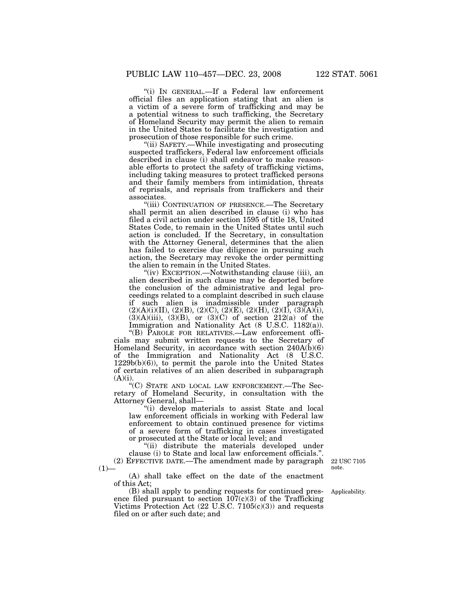''(i) IN GENERAL.—If a Federal law enforcement official files an application stating that an alien is a victim of a severe form of trafficking and may be a potential witness to such trafficking, the Secretary of Homeland Security may permit the alien to remain in the United States to facilitate the investigation and prosecution of those responsible for such crime.

''(ii) SAFETY.—While investigating and prosecuting suspected traffickers, Federal law enforcement officials described in clause (i) shall endeavor to make reasonable efforts to protect the safety of trafficking victims, including taking measures to protect trafficked persons and their family members from intimidation, threats of reprisals, and reprisals from traffickers and their associates.

''(iii) CONTINUATION OF PRESENCE.—The Secretary shall permit an alien described in clause (i) who has filed a civil action under section 1595 of title 18, United States Code, to remain in the United States until such action is concluded. If the Secretary, in consultation with the Attorney General, determines that the alien has failed to exercise due diligence in pursuing such action, the Secretary may revoke the order permitting the alien to remain in the United States.

"(iv) EXCEPTION.—Notwithstanding clause (iii), an alien described in such clause may be deported before the conclusion of the administrative and legal proceedings related to a complaint described in such clause if such alien is inadmissible under paragraph  $(2)(A)(i)(II), (2)(B), (2)(C), (2)(E), (2)(H), (2)(I), (3)(A)i),$  $(3)(A)(iii)$ ,  $(3)(B)$ , or  $(3)(C)$  of section  $212(a)$  of the Immigration and Nationality Act (8 U.S.C. 1182(a)). ''(B) PAROLE FOR RELATIVES.—Law enforcement offi-

cials may submit written requests to the Secretary of Homeland Security, in accordance with section 240A(b)(6) of the Immigration and Nationality Act (8 U.S.C. 1229b(b)(6)), to permit the parole into the United States of certain relatives of an alien described in subparagraph  $(A)(i)$ .

''(C) STATE AND LOCAL LAW ENFORCEMENT.—The Secretary of Homeland Security, in consultation with the Attorney General, shall—

''(i) develop materials to assist State and local law enforcement officials in working with Federal law enforcement to obtain continued presence for victims of a severe form of trafficking in cases investigated or prosecuted at the State or local level; and

''(ii) distribute the materials developed under clause (i) to State and local law enforcement officials.''. (2) EFFECTIVE DATE.—The amendment made by paragraph

 $(1)$ 

(A) shall take effect on the date of the enactment of this Act;

(B) shall apply to pending requests for continued presence filed pursuant to section  $107(c)(3)$  of the Trafficking Victims Protection Act (22 U.S.C. 7105(c)(3)) and requests filed on or after such date; and

22 USC 7105 note.

Applicability.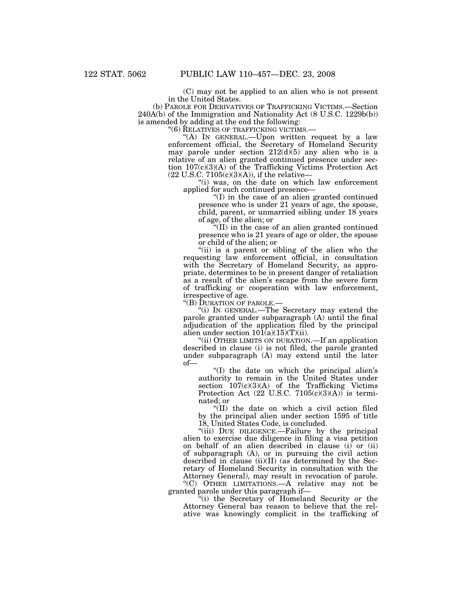(C) may not be applied to an alien who is not present in the United States.

(b) PAROLE FOR DERIVATIVES OF TRAFFICKING VICTIMS.—Section 240A(b) of the Immigration and Nationality Act (8 U.S.C. 1229b(b)) is amended by adding at the end the following:<br>"(6) RELATIVES OF TRAFFICKING VICTIMS.—

"(A) In GENERAL.—Upon written request by a law enforcement official, the Secretary of Homeland Security may parole under section  $212(d)(5)$  any alien who is a relative of an alien granted continued presence under section 107(c)(3)(A) of the Trafficking Victims Protection Act  $(22 \text{ U.S.C. } 7105 \text{ (c)} \cdot (3) \text{ (A)}),$  if the relative—

''(i) was, on the date on which law enforcement applied for such continued presence—

''(I) in the case of an alien granted continued presence who is under 21 years of age, the spouse, child, parent, or unmarried sibling under 18 years of age, of the alien; or

''(II) in the case of an alien granted continued presence who is 21 years of age or older, the spouse or child of the alien; or

"(ii) is a parent or sibling of the alien who the requesting law enforcement official, in consultation with the Secretary of Homeland Security, as appropriate, determines to be in present danger of retaliation as a result of the alien's escape from the severe form of trafficking or cooperation with law enforcement, irrespective of age.

''(B) DURATION OF PAROLE.—

''(i) IN GENERAL.—The Secretary may extend the parole granted under subparagraph (A) until the final adjudication of the application filed by the principal alien under section  $10\overline{1}(a)(15)(T)(ii)$ .

"(ii) OTHER LIMITS ON DURATION.—If an application described in clause (i) is not filed, the parole granted under subparagraph (A) may extend until the later of—

''(I) the date on which the principal alien's authority to remain in the United States under section 107(c)(3)(A) of the Trafficking Victims Protection Act (22 U.S.C. 7105(c)(3)(A)) is terminated; or

''(II) the date on which a civil action filed by the principal alien under section 1595 of title 18, United States Code, is concluded.

"(iii) DUE DILIGENCE.—Failure by the principal alien to exercise due diligence in filing a visa petition on behalf of an alien described in clause (i) or (ii) of subparagraph (A), or in pursuing the civil action described in clause (ii)(II) (as determined by the Secretary of Homeland Security in consultation with the Attorney General), may result in revocation of parole. ''(C) OTHER LIMITATIONS.—A relative may not be granted parole under this paragraph if—

''(i) the Secretary of Homeland Security or the Attorney General has reason to believe that the relative was knowingly complicit in the trafficking of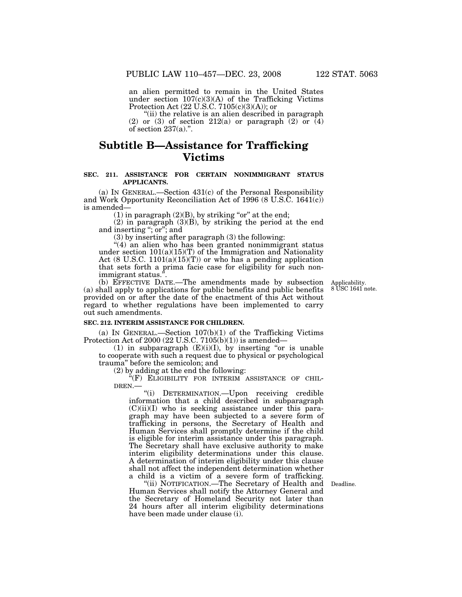an alien permitted to remain in the United States under section 107(c)(3)(A) of the Trafficking Victims Protection Act (22 U.S.C. 7105(c)(3)(A)); or

"(ii) the relative is an alien described in paragraph (2) or (3) of section 212(a) or paragraph  $(2)$  or  $(4)$ of section  $237(a)$ .".

# **Subtitle B—Assistance for Trafficking Victims**

# **SEC. 211. ASSISTANCE FOR CERTAIN NONIMMIGRANT STATUS APPLICANTS.**

(a) IN GENERAL.—Section  $431(c)$  of the Personal Responsibility and Work Opportunity Reconciliation Act of 1996 (8 U.S.C. 1641(c)) is amended—

 $(1)$  in paragraph  $(2)(B)$ , by striking "or" at the end;

 $(2)$  in paragraph  $(3)(B)$ , by striking the period at the end and inserting ''; or''; and

(3) by inserting after paragraph (3) the following:

"(4) an alien who has been granted nonimmigrant status under section  $101(a)(15)(T)$  of the Immigration and Nationality Act  $(8 \text{ U.S.C. } 1101(a)(15)(T))$  or who has a pending application that sets forth a prima facie case for eligibility for such nonimmigrant status.<sup>"</sup>.

(b) EFFECTIVE DATE.—The amendments made by subsection (a) shall apply to applications for public benefits and public benefits provided on or after the date of the enactment of this Act without regard to whether regulations have been implemented to carry out such amendments.

# **SEC. 212. INTERIM ASSISTANCE FOR CHILDREN.**

(a) IN GENERAL.—Section  $107(b)(1)$  of the Trafficking Victims Protection Act of 2000 (22 U.S.C. 7105(b)(1)) is amended—

(1) in subparagraph  $(E)(i)(I)$ , by inserting "or is unable to cooperate with such a request due to physical or psychological trauma'' before the semicolon; and

(2) by adding at the end the following:

"(F) ELIGIBILITY FOR INTERIM ASSISTANCE OF CHIL-DREN.—

''(i) DETERMINATION.—Upon receiving credible information that a child described in subparagraph  $(C)(ii)(I)$  who is seeking assistance under this paragraph may have been subjected to a severe form of trafficking in persons, the Secretary of Health and Human Services shall promptly determine if the child is eligible for interim assistance under this paragraph. The Secretary shall have exclusive authority to make interim eligibility determinations under this clause. A determination of interim eligibility under this clause shall not affect the independent determination whether a child is a victim of a severe form of trafficking.

''(ii) NOTIFICATION.—The Secretary of Health and Human Services shall notify the Attorney General and the Secretary of Homeland Security not later than 24 hours after all interim eligibility determinations have been made under clause (i).

Deadline.

Applicability. 8 USC 1641 note.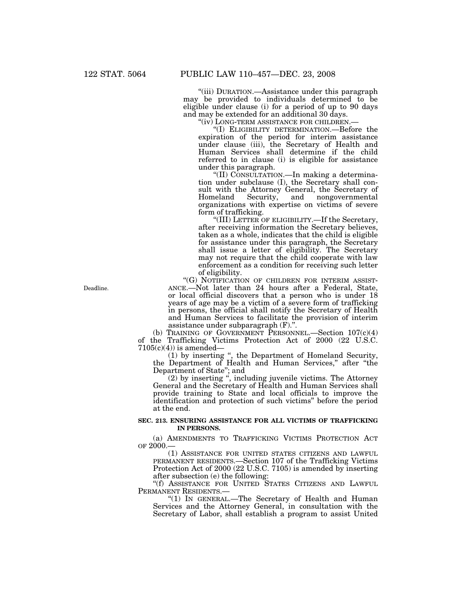''(iii) DURATION.—Assistance under this paragraph may be provided to individuals determined to be eligible under clause (i) for a period of up to 90 days and may be extended for an additional 30 days.

"(I) ELIGIBILITY DETERMINATION.— Before the expiration of the period for interim assistance under clause (iii), the Secretary of Health and Human Services shall determine if the child referred to in clause (i) is eligible for assistance under this paragraph.

''(II) CONSULTATION.—In making a determination under subclause (I), the Secretary shall consult with the Attorney General, the Secretary of<br>Homeland Security, and nongovernmental Homeland Security, and nongovernmental organizations with expertise on victims of severe form of trafficking.

''(III) LETTER OF ELIGIBILITY.—If the Secretary, after receiving information the Secretary believes, taken as a whole, indicates that the child is eligible for assistance under this paragraph, the Secretary shall issue a letter of eligibility. The Secretary may not require that the child cooperate with law enforcement as a condition for receiving such letter of eligibility.

"(G) NOTIFICATION OF CHILDREN FOR INTERIM ASSIST-ANCE.—Not later than 24 hours after a Federal, State, or local official discovers that a person who is under 18 years of age may be a victim of a severe form of trafficking in persons, the official shall notify the Secretary of Health and Human Services to facilitate the provision of interim assistance under subparagraph (F).''.

(b) TRAINING OF GOVERNMENT PERSONNEL.—Section  $107(c)(4)$ of the Trafficking Victims Protection Act of 2000 (22 U.S.C.  $7105(c)(4)$  is amended—

(1) by inserting '', the Department of Homeland Security, the Department of Health and Human Services,'' after ''the Department of State''; and

(2) by inserting '', including juvenile victims. The Attorney General and the Secretary of Health and Human Services shall provide training to State and local officials to improve the identification and protection of such victims'' before the period at the end.

# **SEC. 213. ENSURING ASSISTANCE FOR ALL VICTIMS OF TRAFFICKING IN PERSONS.**

(a) AMENDMENTS TO TRAFFICKING VICTIMS PROTECTION ACT OF 2000.—

(1) ASSISTANCE FOR UNITED STATES CITIZENS AND LAWFUL PERMANENT RESIDENTS.—Section 107 of the Trafficking Victims Protection Act of 2000 (22 U.S.C. 7105) is amended by inserting after subsection (e) the following:

''(f) ASSISTANCE FOR UNITED STATES CITIZENS AND LAWFUL PERMANENT RESIDENTS.—

"(1) IN GENERAL.—The Secretary of Health and Human Services and the Attorney General, in consultation with the Secretary of Labor, shall establish a program to assist United

Deadline.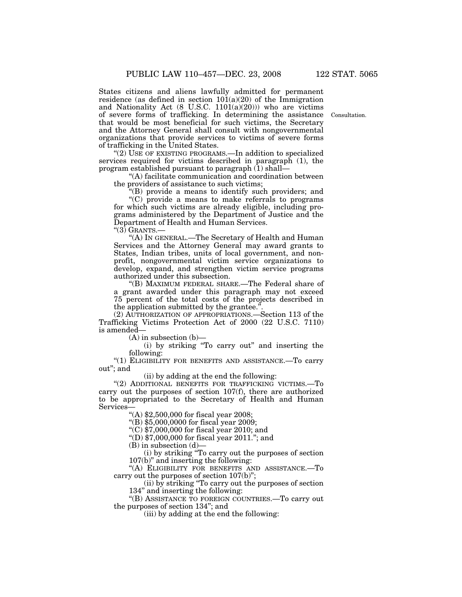States citizens and aliens lawfully admitted for permanent residence (as defined in section  $101(a)(20)$  of the Immigration and Nationality Act (8 U.S.C. 1101(a)(20))) who are victims of severe forms of trafficking. In determining the assistance that would be most beneficial for such victims, the Secretary and the Attorney General shall consult with nongovernmental organizations that provide services to victims of severe forms of trafficking in the United States.

"(2) USE OF EXISTING PROGRAMS.—In addition to specialized services required for victims described in paragraph (1), the program established pursuant to paragraph (1) shall—

''(A) facilitate communication and coordination between the providers of assistance to such victims;

''(B) provide a means to identify such providers; and  $\mathrm{C}^{\prime\prime}(\mathrm{C})$  provide a means to make referrals to programs for which such victims are already eligible, including programs administered by the Department of Justice and the Department of Health and Human Services.

" $(3)$  GRANTS.-

''(A) IN GENERAL.—The Secretary of Health and Human Services and the Attorney General may award grants to States, Indian tribes, units of local government, and nonprofit, nongovernmental victim service organizations to develop, expand, and strengthen victim service programs authorized under this subsection.

''(B) MAXIMUM FEDERAL SHARE.—The Federal share of a grant awarded under this paragraph may not exceed 75 percent of the total costs of the projects described in the application submitted by the grantee.''.

(2) AUTHORIZATION OF APPROPRIATIONS.—Section 113 of the Trafficking Victims Protection Act of 2000 (22 U.S.C. 7110) is amended—

 $(A)$  in subsection  $(b)$ —

(i) by striking ''To carry out'' and inserting the following:

"(1) ELIGIBILITY FOR BENEFITS AND ASSISTANCE.-To carry out''; and

(ii) by adding at the end the following:

''(2) ADDITIONAL BENEFITS FOR TRAFFICKING VICTIMS.—To carry out the purposes of section 107(f), there are authorized to be appropriated to the Secretary of Health and Human Services—

"(A) \$2,500,000 for fiscal year 2008;

 $(16)$  \$5,000,0000 for fiscal year 2009;

''(C) \$7,000,000 for fiscal year 2010; and

''(D) \$7,000,000 for fiscal year 2011.''; and

(B) in subsection (d)—

(i) by striking ''To carry out the purposes of section 107(b)'' and inserting the following:

''(A) ELIGIBILITY FOR BENEFITS AND ASSISTANCE.—To carry out the purposes of section 107(b)'';

(ii) by striking ''To carry out the purposes of section 134'' and inserting the following:

''(B) ASSISTANCE TO FOREIGN COUNTRIES.—To carry out the purposes of section 134''; and

(iii) by adding at the end the following:

Consultation.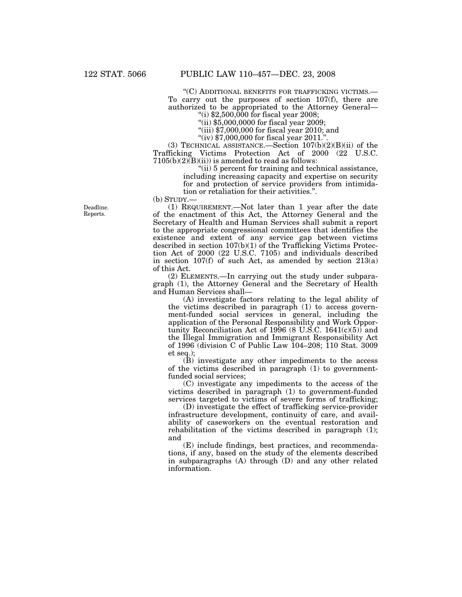''(C) ADDITIONAL BENEFITS FOR TRAFFICKING VICTIMS.— To carry out the purposes of section 107(f), there are authorized to be appropriated to the Attorney General— "(i)  $$2,500,000$  for fiscal year 2008;

''(ii) \$5,000,0000 for fiscal year 2009;

''(iii) \$7,000,000 for fiscal year 2010; and

"(iv) \$7,000,000 for fiscal year 2011.".

(3) TECHNICAL ASSISTANCE.—Section  $107(b)(2)(B)(ii)$  of the Trafficking Victims Protection Act of  $2000$  (22 U.S.C. Victims Protection Act of 2000 (22 U.S.C.  $7105(b)(2)(B)(ii)$  is amended to read as follows:

> ''(ii) 5 percent for training and technical assistance, including increasing capacity and expertise on security for and protection of service providers from intimidation or retaliation for their activities.''.

 $(b)$  STUDY.

(1) REQUIREMENT.—Not later than 1 year after the date of the enactment of this Act, the Attorney General and the Secretary of Health and Human Services shall submit a report to the appropriate congressional committees that identifies the existence and extent of any service gap between victims described in section 107(b)(1) of the Trafficking Victims Protection Act of 2000 (22 U.S.C. 7105) and individuals described in section 107(f) of such Act, as amended by section 213(a) of this Act.

(2) ELEMENTS.—In carrying out the study under subparagraph (1), the Attorney General and the Secretary of Health and Human Services shall—

(A) investigate factors relating to the legal ability of the victims described in paragraph (1) to access government-funded social services in general, including the application of the Personal Responsibility and Work Opportunity Reconciliation Act of 1996 (8 U.S.C. 1641(c)(5)) and the Illegal Immigration and Immigrant Responsibility Act of 1996 (division C of Public Law 104–208; 110 Stat. 3009 et seq.);

(B) investigate any other impediments to the access of the victims described in paragraph (1) to governmentfunded social services;

(C) investigate any impediments to the access of the victims described in paragraph (1) to government-funded services targeted to victims of severe forms of trafficking;

(D) investigate the effect of trafficking service-provider infrastructure development, continuity of care, and availability of caseworkers on the eventual restoration and rehabilitation of the victims described in paragraph (1); and

(E) include findings, best practices, and recommendations, if any, based on the study of the elements described in subparagraphs (A) through (D) and any other related information.

Deadline. Reports.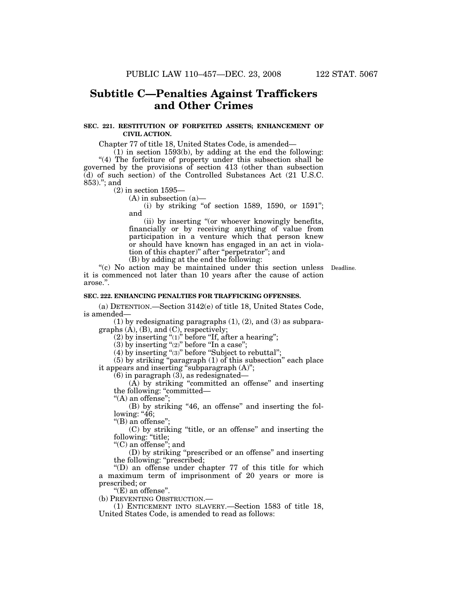# **Subtitle C—Penalties Against Traffickers and Other Crimes**

### **SEC. 221. RESTITUTION OF FORFEITED ASSETS; ENHANCEMENT OF CIVIL ACTION.**

Chapter 77 of title 18, United States Code, is amended—

 $(1)$  in section 1593(b), by adding at the end the following: "(4) The forfeiture of property under this subsection shall be governed by the provisions of section 413 (other than subsection (d) of such section) of the Controlled Substances Act (21 U.S.C. 853).''; and

(2) in section 1595—

 $(A)$  in subsection  $(a)$ —

(i) by striking "of section 1589, 1590, or 1591"; and

(ii) by inserting ''(or whoever knowingly benefits, financially or by receiving anything of value from participation in a venture which that person knew or should have known has engaged in an act in violation of this chapter)'' after ''perpetrator''; and (B) by adding at the end the following:

"(c) No action may be maintained under this section unless Deadline. it is commenced not later than 10 years after the cause of action arose.''.

### **SEC. 222. ENHANCING PENALTIES FOR TRAFFICKING OFFENSES.**

(a) DETENTION.—Section 3142(e) of title 18, United States Code, is amended—

(1) by redesignating paragraphs (1), (2), and (3) as subparagraphs (A), (B), and (C), respectively;

 $(2)$  by inserting " $(1)$ " before "If, after a hearing";

 $(3)$  by inserting " $(2)$ " before "In a case";

(4) by inserting "(3)" before "Subject to rebuttal";

(5) by striking ''paragraph (1) of this subsection'' each place it appears and inserting ''subparagraph (A)'';

 $(6)$  in paragraph  $(3)$ , as redesignated—

(A) by striking ''committed an offense'' and inserting the following: ''committed—

"(A) an offense";

(B) by striking "46, an offense" and inserting the following: " $46$ ;

''(B) an offense'';

(C) by striking ''title, or an offense'' and inserting the following: ''title;

''(C) an offense''; and

(D) by striking ''prescribed or an offense'' and inserting the following: "prescribed;

''(D) an offense under chapter 77 of this title for which a maximum term of imprisonment of 20 years or more is prescribed; or

"(E) an offense".

(b) PREVENTING OBSTRUCTION.—

(1) ENTICEMENT INTO SLAVERY.—Section 1583 of title 18, United States Code, is amended to read as follows: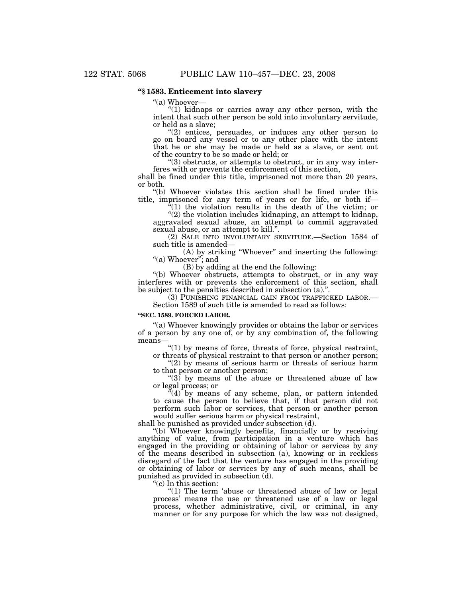# **''§ 1583. Enticement into slavery**

"(a) Whoever-

" $(1)$  kidnaps or carries away any other person, with the intent that such other person be sold into involuntary servitude, or held as a slave;

"(2) entices, persuades, or induces any other person to go on board any vessel or to any other place with the intent that he or she may be made or held as a slave, or sent out of the country to be so made or held; or

''(3) obstructs, or attempts to obstruct, or in any way interferes with or prevents the enforcement of this section,

shall be fined under this title, imprisoned not more than 20 years, or both.

''(b) Whoever violates this section shall be fined under this title, imprisoned for any term of years or for life, or both if—

 $\sqrt[n]{(1)}$  the violation results in the death of the victim; or

"(2) the violation includes kidnaping, an attempt to kidnap, aggravated sexual abuse, an attempt to commit aggravated sexual abuse, or an attempt to kill.''.

(2) SALE INTO INVOLUNTARY SERVITUDE.—Section 1584 of such title is amended—

(A) by striking ''Whoever'' and inserting the following: ''(a) Whoever''; and

(B) by adding at the end the following:

"(b) Whoever obstructs, attempts to obstruct, or in any way interferes with or prevents the enforcement of this section, shall be subject to the penalties described in subsection (a)."

(3) PUNISHING FINANCIAL GAIN FROM TRAFFICKED LABOR.— Section 1589 of such title is amended to read as follows:

### **''SEC. 1589. FORCED LABOR.**

''(a) Whoever knowingly provides or obtains the labor or services of a person by any one of, or by any combination of, the following means—

"(1) by means of force, threats of force, physical restraint, or threats of physical restraint to that person or another person;

"(2) by means of serious harm or threats of serious harm to that person or another person;

" $(3)$  by means of the abuse or threatened abuse of law or legal process; or

"(4) by means of any scheme, plan, or pattern intended to cause the person to believe that, if that person did not perform such labor or services, that person or another person would suffer serious harm or physical restraint.

shall be punished as provided under subsection (d).

''(b) Whoever knowingly benefits, financially or by receiving anything of value, from participation in a venture which has engaged in the providing or obtaining of labor or services by any of the means described in subsection (a), knowing or in reckless disregard of the fact that the venture has engaged in the providing or obtaining of labor or services by any of such means, shall be punished as provided in subsection (d).

''(c) In this section:

''(1) The term 'abuse or threatened abuse of law or legal process' means the use or threatened use of a law or legal process, whether administrative, civil, or criminal, in any manner or for any purpose for which the law was not designed,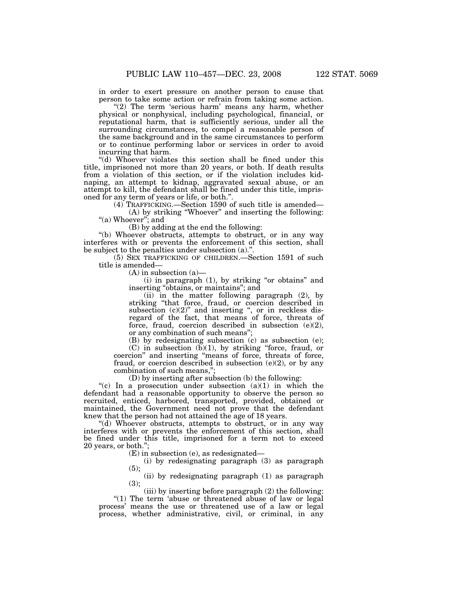in order to exert pressure on another person to cause that person to take some action or refrain from taking some action.

" $(2)$  The term 'serious harm' means any harm, whether physical or nonphysical, including psychological, financial, or reputational harm, that is sufficiently serious, under all the surrounding circumstances, to compel a reasonable person of the same background and in the same circumstances to perform or to continue performing labor or services in order to avoid incurring that harm.

''(d) Whoever violates this section shall be fined under this title, imprisoned not more than 20 years, or both. If death results from a violation of this section, or if the violation includes kidnaping, an attempt to kidnap, aggravated sexual abuse, or an attempt to kill, the defendant shall be fined under this title, imprisoned for any term of years or life, or both.''.

(4) TRAFFICKING.—Section 1590 of such title is amended—

(A) by striking ''Whoever'' and inserting the following: "(a) Whoever"; and

(B) by adding at the end the following:

''(b) Whoever obstructs, attempts to obstruct, or in any way interferes with or prevents the enforcement of this section, shall be subject to the penalties under subsection (a)."

(5) SEX TRAFFICKING OF CHILDREN.—Section 1591 of such title is amended—

(A) in subsection (a)—

 $(i)$  in paragraph  $(1)$ , by striking "or obtains" and inserting "obtains, or maintains"; and

(ii) in the matter following paragraph (2), by striking ''that force, fraud, or coercion described in subsection  $(c)(2)$ " and inserting ", or in reckless disregard of the fact, that means of force, threats of force, fraud, coercion described in subsection (e)(2), or any combination of such means'';

(B) by redesignating subsection (c) as subsection (e);

 $(C)$  in subsection  $(b)(1)$ , by striking "force, fraud, or coercion'' and inserting ''means of force, threats of force, fraud, or coercion described in subsection (e)(2), or by any combination of such means,'';

(D) by inserting after subsection (b) the following:

"(c) In a prosecution under subsection  $(a)(1)$  in which the defendant had a reasonable opportunity to observe the person so recruited, enticed, harbored, transported, provided, obtained or maintained, the Government need not prove that the defendant knew that the person had not attained the age of 18 years.

''(d) Whoever obstructs, attempts to obstruct, or in any way interferes with or prevents the enforcement of this section, shall be fined under this title, imprisoned for a term not to exceed 20 years, or both.'';

(E) in subsection (e), as redesignated—

(i) by redesignating paragraph (3) as paragraph (5);

(ii) by redesignating paragraph (1) as paragraph (3);

(iii) by inserting before paragraph (2) the following: "(1) The term 'abuse or threatened abuse of law or legal process' means the use or threatened use of a law or legal process, whether administrative, civil, or criminal, in any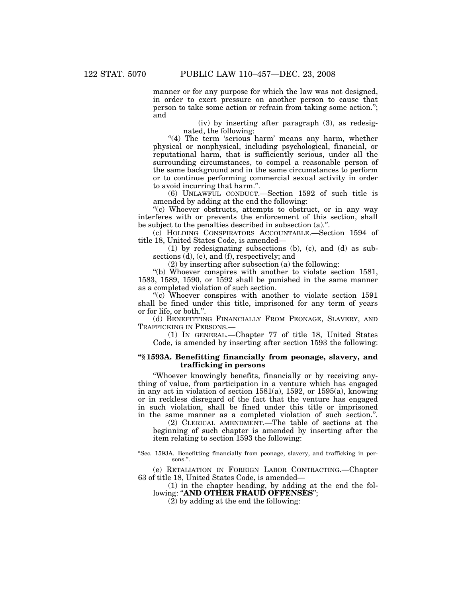manner or for any purpose for which the law was not designed, in order to exert pressure on another person to cause that person to take some action or refrain from taking some action.''; and

> (iv) by inserting after paragraph (3), as redesignated, the following:

" $(4)$  The term 'serious harm' means any harm, whether physical or nonphysical, including psychological, financial, or reputational harm, that is sufficiently serious, under all the surrounding circumstances, to compel a reasonable person of the same background and in the same circumstances to perform or to continue performing commercial sexual activity in order to avoid incurring that harm.''.

(6) UNLAWFUL CONDUCT.—Section 1592 of such title is amended by adding at the end the following:

"(c) Whoever obstructs, attempts to obstruct, or in any way interferes with or prevents the enforcement of this section, shall be subject to the penalties described in subsection (a).''.

(c) HOLDING CONSPIRATORS ACCOUNTABLE.—Section 1594 of title 18, United States Code, is amended—

(1) by redesignating subsections (b), (c), and (d) as subsections (d), (e), and (f), respectively; and

(2) by inserting after subsection (a) the following:

''(b) Whoever conspires with another to violate section 1581, 1583, 1589, 1590, or 1592 shall be punished in the same manner as a completed violation of such section.

 $C$ <sup>''</sup>(c) Whoever conspires with another to violate section 1591 shall be fined under this title, imprisoned for any term of years or for life, or both.''.

(d) BENEFITTING FINANCIALLY FROM PEONAGE, SLAVERY, AND TRAFFICKING IN PERSONS.—

(1) IN GENERAL.—Chapter 77 of title 18, United States Code, is amended by inserting after section 1593 the following:

# **''§ 1593A. Benefitting financially from peonage, slavery, and trafficking in persons**

''Whoever knowingly benefits, financially or by receiving anything of value, from participation in a venture which has engaged in any act in violation of section  $1581(a)$ ,  $1592$ , or  $1595(a)$ , knowing or in reckless disregard of the fact that the venture has engaged in such violation, shall be fined under this title or imprisoned in the same manner as a completed violation of such section.''.

(2) CLERICAL AMENDMENT.—The table of sections at the beginning of such chapter is amended by inserting after the item relating to section 1593 the following:

''Sec. 1593A. Benefitting financially from peonage, slavery, and trafficking in persons."

(e) RETALIATION IN FOREIGN LABOR CONTRACTING.—Chapter 63 of title 18, United States Code, is amended—

(1) in the chapter heading, by adding at the end the following: "AND OTHER FRAUD OFFENSES";

(2) by adding at the end the following: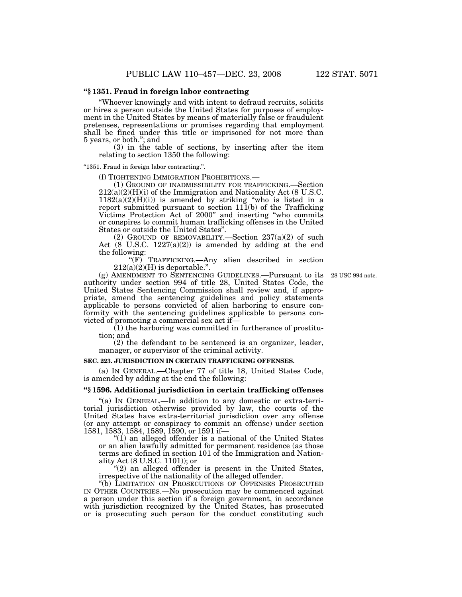### **''§ 1351. Fraud in foreign labor contracting**

''Whoever knowingly and with intent to defraud recruits, solicits or hires a person outside the United States for purposes of employment in the United States by means of materially false or fraudulent pretenses, representations or promises regarding that employment shall be fined under this title or imprisoned for not more than 5 years, or both.''; and

(3) in the table of sections, by inserting after the item relating to section 1350 the following:

### ''1351. Fraud in foreign labor contracting.''.

(f) TIGHTENING IMMIGRATION PROHIBITIONS.—

(1) GROUND OF INADMISSIBILITY FOR TRAFFICKING.—Section 212(a)(2)(H)(i) of the Immigration and Nationality Act (8 U.S.C.  $1182(a)(2)(H)(i)$  is amended by striking "who is listed in a report submitted pursuant to section 111(b) of the Trafficking Victims Protection Act of 2000'' and inserting ''who commits or conspires to commit human trafficking offenses in the United States or outside the United States''.

(2) GROUND OF REMOVABILITY.—Section 237(a)(2) of such Act  $(8 \text{ U.S.C. } 1227(a)(2))$  is amended by adding at the end the following:

"(F) TRAFFICKING.—Any alien described in section  $212(a)(2)(H)$  is deportable.".

(g) AMENDMENT TO SENTENCING GUIDELINES.—Pursuant to its 28 USC 994 note. authority under section 994 of title 28, United States Code, the United States Sentencing Commission shall review and, if appropriate, amend the sentencing guidelines and policy statements applicable to persons convicted of alien harboring to ensure conformity with the sentencing guidelines applicable to persons convicted of promoting a commercial sex act if—

 $(1)$  the harboring was committed in furtherance of prostitution; and

(2) the defendant to be sentenced is an organizer, leader, manager, or supervisor of the criminal activity.

### **SEC. 223. JURISDICTION IN CERTAIN TRAFFICKING OFFENSES.**

(a) IN GENERAL.—Chapter 77 of title 18, United States Code, is amended by adding at the end the following:

# **''§ 1596. Additional jurisdiction in certain trafficking offenses**

''(a) IN GENERAL.—In addition to any domestic or extra-territorial jurisdiction otherwise provided by law, the courts of the United States have extra-territorial jurisdiction over any offense (or any attempt or conspiracy to commit an offense) under section 1581, 1583, 1584, 1589, 1590, or 1591 if—

" $(1)$  an alleged offender is a national of the United States or an alien lawfully admitted for permanent residence (as those terms are defined in section 101 of the Immigration and Nationality Act (8 U.S.C. 1101)); or

"(2) an alleged offender is present in the United States, irrespective of the nationality of the alleged offender.

''(b) LIMITATION ON PROSECUTIONS OF OFFENSES PROSECUTED IN OTHER COUNTRIES.—No prosecution may be commenced against a person under this section if a foreign government, in accordance with jurisdiction recognized by the United States, has prosecuted or is prosecuting such person for the conduct constituting such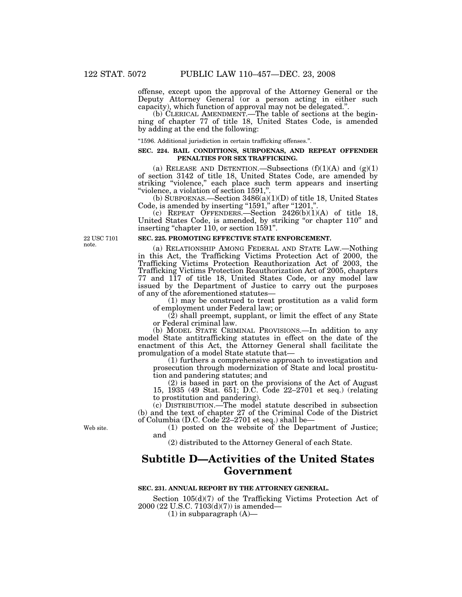offense, except upon the approval of the Attorney General or the Deputy Attorney General (or a person acting in either such capacity), which function of approval may not be delegated.''.

(b) CLERICAL AMENDMENT.—The table of sections at the beginning of chapter 77 of title 18, United States Code, is amended by adding at the end the following:

''1596. Additional jurisdiction in certain trafficking offenses.''.

### **SEC. 224. BAIL CONDITIONS, SUBPOENAS, AND REPEAT OFFENDER PENALTIES FOR SEX TRAFFICKING.**

(a) RELEASE AND DETENTION.—Subsections  $(f)(1)(A)$  and  $(g)(1)$ of section 3142 of title 18, United States Code, are amended by striking ''violence,'' each place such term appears and inserting "violence, a violation of section 1591,".

(b) SUBPOENAS.—Section  $3486(a)(1)(D)$  of title 18, United States Code, is amended by inserting "1591," after "1201,".

(c) REPEAT OFFENDERS.—Section  $2426(b)(1)(A)$  of title 18, United States Code, is amended, by striking "or chapter 110" and inserting "chapter 110, or section 1591".

### **SEC. 225. PROMOTING EFFECTIVE STATE ENFORCEMENT.**

(a) RELATIONSHIP AMONG FEDERAL AND STATE LAW.—Nothing in this Act, the Trafficking Victims Protection Act of 2000, the Trafficking Victims Protection Reauthorization Act of 2003, the Trafficking Victims Protection Reauthorization Act of 2005, chapters 77 and 117 of title 18, United States Code, or any model law issued by the Department of Justice to carry out the purposes of any of the aforementioned statutes—

(1) may be construed to treat prostitution as a valid form of employment under Federal law; or

 $(2)$  shall preempt, supplant, or limit the effect of any State or Federal criminal law.

(b) MODEL STATE CRIMINAL PROVISIONS.—In addition to any model State antitrafficking statutes in effect on the date of the enactment of this Act, the Attorney General shall facilitate the promulgation of a model State statute that—

(1) furthers a comprehensive approach to investigation and prosecution through modernization of State and local prostitution and pandering statutes; and

(2) is based in part on the provisions of the Act of August 15, 1935 (49 Stat. 651; D.C. Code 22–2701 et seq.) (relating to prostitution and pandering).

(c) DISTRIBUTION.—The model statute described in subsection (b) and the text of chapter 27 of the Criminal Code of the District of Columbia (D.C. Code 22–2701 et seq.) shall be—

(1) posted on the website of the Department of Justice; and

(2) distributed to the Attorney General of each State.

# **Subtitle D—Activities of the United States Government**

### **SEC. 231. ANNUAL REPORT BY THE ATTORNEY GENERAL.**

Section 105(d)(7) of the Trafficking Victims Protection Act of 2000 (22 U.S.C. 7103(d)(7)) is amended—  $(1)$  in subparagraph  $(A)$ —

22 USC 7101 note.

Web site.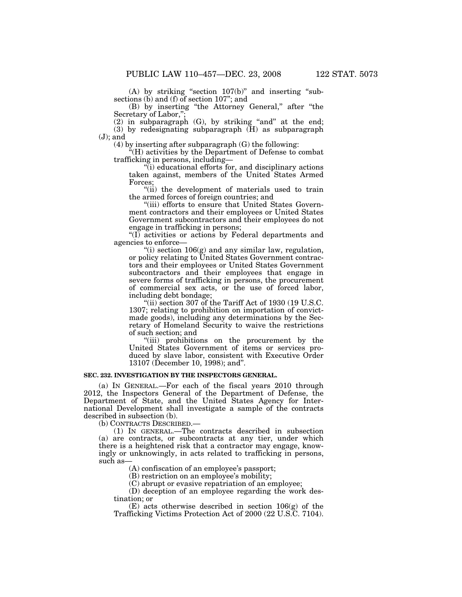(A) by striking "section 107(b)" and inserting "subsections (b) and (f) of section 107"; and

(B) by inserting "the Attorney General," after "the Secretary of Labor,'';

(2) in subparagraph  $(G)$ , by striking "and" at the end; (3) by redesignating subparagraph (H) as subparagraph (J); and

(4) by inserting after subparagraph (G) the following:

''(H) activities by the Department of Defense to combat trafficking in persons, including—

''(i) educational efforts for, and disciplinary actions taken against, members of the United States Armed Forces;

"(ii) the development of materials used to train the armed forces of foreign countries; and

''(iii) efforts to ensure that United States Government contractors and their employees or United States Government subcontractors and their employees do not engage in trafficking in persons;

''(I) activities or actions by Federal departments and agencies to enforce—

"(i) section  $106(g)$  and any similar law, regulation, or policy relating to United States Government contractors and their employees or United States Government subcontractors and their employees that engage in severe forms of trafficking in persons, the procurement of commercial sex acts, or the use of forced labor, including debt bondage;

"(ii) section 307 of the Tariff Act of 1930 (19 U.S.C. 1307; relating to prohibition on importation of convictmade goods), including any determinations by the Secretary of Homeland Security to waive the restrictions of such section; and

''(iii) prohibitions on the procurement by the United States Government of items or services produced by slave labor, consistent with Executive Order 13107 (December 10, 1998); and''.

### **SEC. 232. INVESTIGATION BY THE INSPECTORS GENERAL.**

(a) IN GENERAL.—For each of the fiscal years 2010 through 2012, the Inspectors General of the Department of Defense, the Department of State, and the United States Agency for International Development shall investigate a sample of the contracts described in subsection (b).

(b) CONTRACTS DESCRIBED.—

(1) IN GENERAL.—The contracts described in subsection (a) are contracts, or subcontracts at any tier, under which there is a heightened risk that a contractor may engage, knowingly or unknowingly, in acts related to trafficking in persons, such as—

(A) confiscation of an employee's passport;

(B) restriction on an employee's mobility;

(C) abrupt or evasive repatriation of an employee;

(D) deception of an employee regarding the work destination; or

(E) acts otherwise described in section 106(g) of the Trafficking Victims Protection Act of 2000 (22 U.S.C. 7104).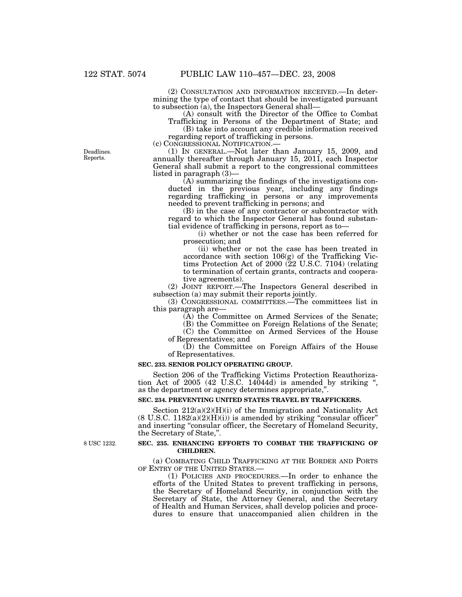(2) CONSULTATION AND INFORMATION RECEIVED.—In determining the type of contact that should be investigated pursuant to subsection (a), the Inspectors General shall—

(A) consult with the Director of the Office to Combat Trafficking in Persons of the Department of State; and

(B) take into account any credible information received regarding report of trafficking in persons.<br>(c) CONGRESSIONAL NOTIFICATION.—

(c) CONGRESSIONAL NOTIFICATION.— (1) IN GENERAL.—Not later than January 15, 2009, and annually thereafter through January 15, 2011, each Inspector General shall submit a report to the congressional committees listed in paragraph (3)—

(A) summarizing the findings of the investigations conducted in the previous year, including any findings regarding trafficking in persons or any improvements needed to prevent trafficking in persons; and

(B) in the case of any contractor or subcontractor with regard to which the Inspector General has found substantial evidence of trafficking in persons, report as to—

(i) whether or not the case has been referred for prosecution; and

(ii) whether or not the case has been treated in accordance with section 106(g) of the Trafficking Victims Protection Act of 2000 (22 U.S.C. 7104) (relating to termination of certain grants, contracts and cooperative agreements).

(2) JOINT REPORT.—The Inspectors General described in subsection (a) may submit their reports jointly.

(3) CONGRESSIONAL COMMITTEES.—The committees list in this paragraph are—

(A) the Committee on Armed Services of the Senate;

(B) the Committee on Foreign Relations of the Senate;

(C) the Committee on Armed Services of the House of Representatives; and

(D) the Committee on Foreign Affairs of the House of Representatives.

### **SEC. 233. SENIOR POLICY OPERATING GROUP.**

Section 206 of the Trafficking Victims Protection Reauthorization Act of  $2005$  (42 U.S.C. 14044d) is amended by striking ", as the department or agency determines appropriate,''.

### **SEC. 234. PREVENTING UNITED STATES TRAVEL BY TRAFFICKERS.**

Section  $212(a)(2)(H)(i)$  of the Immigration and Nationality Act  $(8 \text{ U.S.C. } 1182(a)(2)(H)(i))$  is amended by striking "consular officer" and inserting ''consular officer, the Secretary of Homeland Security, the Secretary of State,''.

8 USC 1232.

### **SEC. 235. ENHANCING EFFORTS TO COMBAT THE TRAFFICKING OF CHILDREN.**

(a) COMBATING CHILD TRAFFICKING AT THE BORDER AND PORTS OF ENTRY OF THE UNITED STATES.—

 $(1)$  POLICIES AND PROCEDURES.—In order to enhance the efforts of the United States to prevent trafficking in persons, the Secretary of Homeland Security, in conjunction with the Secretary of State, the Attorney General, and the Secretary of Health and Human Services, shall develop policies and procedures to ensure that unaccompanied alien children in the

Deadlines. Reports.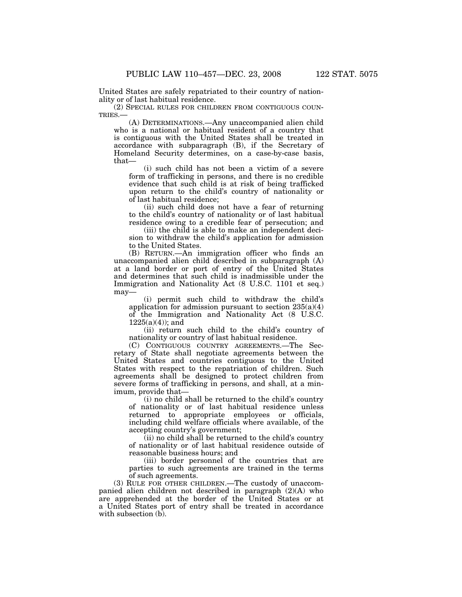United States are safely repatriated to their country of nationality or of last habitual residence.

(2) SPECIAL RULES FOR CHILDREN FROM CONTIGUOUS COUN-TRIES.—

(A) DETERMINATIONS.—Any unaccompanied alien child who is a national or habitual resident of a country that is contiguous with the United States shall be treated in accordance with subparagraph (B), if the Secretary of Homeland Security determines, on a case-by-case basis, that—

(i) such child has not been a victim of a severe form of trafficking in persons, and there is no credible evidence that such child is at risk of being trafficked upon return to the child's country of nationality or of last habitual residence;

(ii) such child does not have a fear of returning to the child's country of nationality or of last habitual residence owing to a credible fear of persecution; and

(iii) the child is able to make an independent decision to withdraw the child's application for admission to the United States.

(B) RETURN.—An immigration officer who finds an unaccompanied alien child described in subparagraph (A) at a land border or port of entry of the United States and determines that such child is inadmissible under the Immigration and Nationality Act (8 U.S.C. 1101 et seq.) may—

(i) permit such child to withdraw the child's application for admission pursuant to section 235(a)(4) of the Immigration and Nationality Act (8 U.S.C.  $1225(a)(4)$ ; and

(ii) return such child to the child's country of nationality or country of last habitual residence.

(C) CONTIGUOUS COUNTRY AGREEMENTS.—The Secretary of State shall negotiate agreements between the United States and countries contiguous to the United States with respect to the repatriation of children. Such agreements shall be designed to protect children from severe forms of trafficking in persons, and shall, at a minimum, provide that—

(i) no child shall be returned to the child's country of nationality or of last habitual residence unless returned to appropriate employees or officials, including child welfare officials where available, of the accepting country's government;

(ii) no child shall be returned to the child's country of nationality or of last habitual residence outside of reasonable business hours; and

(iii) border personnel of the countries that are parties to such agreements are trained in the terms of such agreements.

(3) RULE FOR OTHER CHILDREN.—The custody of unaccompanied alien children not described in paragraph (2)(A) who are apprehended at the border of the United States or at a United States port of entry shall be treated in accordance with subsection  $(b)$ .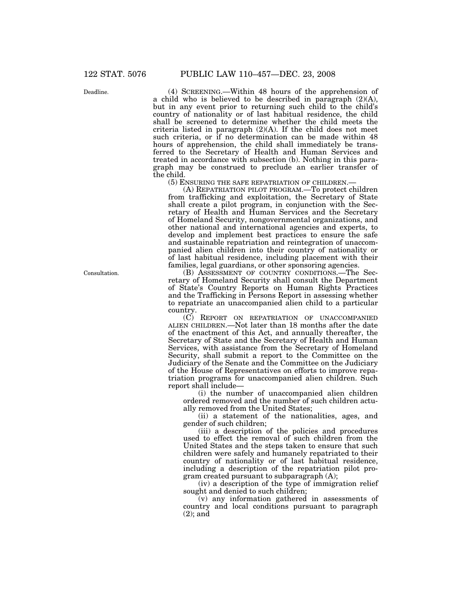Deadline.

(4) SCREENING.—Within 48 hours of the apprehension of a child who is believed to be described in paragraph (2)(A), but in any event prior to returning such child to the child's country of nationality or of last habitual residence, the child shall be screened to determine whether the child meets the criteria listed in paragraph  $(2)(A)$ . If the child does not meet such criteria, or if no determination can be made within 48 hours of apprehension, the child shall immediately be transferred to the Secretary of Health and Human Services and treated in accordance with subsection (b). Nothing in this paragraph may be construed to preclude an earlier transfer of

the child.<br>(5) ENSURING THE SAFE REPATRIATION OF CHILDREN.

(A) REPATRIATION PILOT PROGRAM.— To protect children from trafficking and exploitation, the Secretary of State shall create a pilot program, in conjunction with the Secretary of Health and Human Services and the Secretary of Homeland Security, nongovernmental organizations, and other national and international agencies and experts, to develop and implement best practices to ensure the safe and sustainable repatriation and reintegration of unaccompanied alien children into their country of nationality or of last habitual residence, including placement with their families, legal guardians, or other sponsoring agencies.

(B) ASSESSMENT OF COUNTRY CONDITIONS.—The Secretary of Homeland Security shall consult the Department of State's Country Reports on Human Rights Practices and the Trafficking in Persons Report in assessing whether to repatriate an unaccompanied alien child to a particular country.

(C) REPORT ON REPATRIATION OF UNACCOMPANIED ALIEN CHILDREN.—Not later than 18 months after the date of the enactment of this Act, and annually thereafter, the Secretary of State and the Secretary of Health and Human Services, with assistance from the Secretary of Homeland Security, shall submit a report to the Committee on the Judiciary of the Senate and the Committee on the Judiciary of the House of Representatives on efforts to improve repatriation programs for unaccompanied alien children. Such report shall include—

(i) the number of unaccompanied alien children ordered removed and the number of such children actually removed from the United States;

(ii) a statement of the nationalities, ages, and gender of such children;

(iii) a description of the policies and procedures used to effect the removal of such children from the United States and the steps taken to ensure that such children were safely and humanely repatriated to their country of nationality or of last habitual residence, including a description of the repatriation pilot program created pursuant to subparagraph (A);

(iv) a description of the type of immigration relief sought and denied to such children;

(v) any information gathered in assessments of country and local conditions pursuant to paragraph (2); and

Consultation.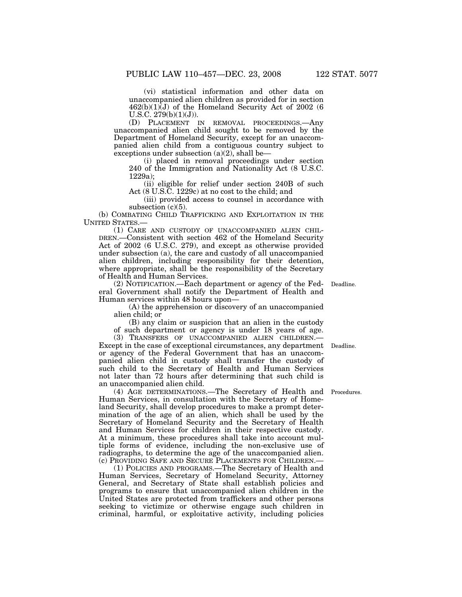(vi) statistical information and other data on unaccompanied alien children as provided for in section  $462(b)(1)\overline{(J)}$  of the Homeland Security Act of 2002 (6)  $U.S.C. 279(b)(1)(J)$ .

(D) PLACEMENT IN REMOVAL PROCEEDINGS.—Any unaccompanied alien child sought to be removed by the Department of Homeland Security, except for an unaccompanied alien child from a contiguous country subject to exceptions under subsection  $(a)(2)$ , shall be—

(i) placed in removal proceedings under section 240 of the Immigration and Nationality Act (8 U.S.C. 1229a);

(ii) eligible for relief under section 240B of such Act (8 U.S.C. 1229c) at no cost to the child; and

(iii) provided access to counsel in accordance with subsection  $(c)(5)$ .

(b) COMBATING CHILD TRAFFICKING AND EXPLOITATION IN THE UNITED STATES.—

(1) CARE AND CUSTODY OF UNACCOMPANIED ALIEN CHIL-DREN.—Consistent with section 462 of the Homeland Security Act of 2002 (6 U.S.C. 279), and except as otherwise provided under subsection (a), the care and custody of all unaccompanied alien children, including responsibility for their detention, where appropriate, shall be the responsibility of the Secretary of Health and Human Services.

(2) NOTIFICATION.—Each department or agency of the Federal Government shall notify the Department of Health and Human services within 48 hours upon—

(A) the apprehension or discovery of an unaccompanied alien child; or

(B) any claim or suspicion that an alien in the custody of such department or agency is under 18 years of age.

(3) TRANSFERS OF UNACCOMPANIED ALIEN CHILDREN.— Except in the case of exceptional circumstances, any department Deadline. or agency of the Federal Government that has an unaccompanied alien child in custody shall transfer the custody of such child to the Secretary of Health and Human Services not later than 72 hours after determining that such child is an unaccompanied alien child.

(4) AGE DETERMINATIONS.—The Secretary of Health and Procedures. Human Services, in consultation with the Secretary of Homeland Security, shall develop procedures to make a prompt determination of the age of an alien, which shall be used by the Secretary of Homeland Security and the Secretary of Health and Human Services for children in their respective custody. At a minimum, these procedures shall take into account multiple forms of evidence, including the non-exclusive use of radiographs, to determine the age of the unaccompanied alien. (c) PROVIDING SAFE AND SECURE PLACEMENTS FOR CHILDREN.—

(1) POLICIES AND PROGRAMS.—The Secretary of Health and Human Services, Secretary of Homeland Security, Attorney General, and Secretary of State shall establish policies and programs to ensure that unaccompanied alien children in the United States are protected from traffickers and other persons seeking to victimize or otherwise engage such children in criminal, harmful, or exploitative activity, including policies

Deadline.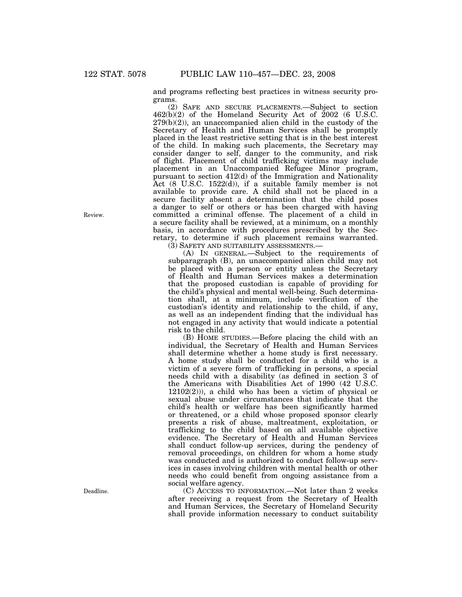and programs reflecting best practices in witness security programs.

(2) SAFE AND SECURE PLACEMENTS.—Subject to section 462(b)(2) of the Homeland Security Act of 2002 (6 U.S.C.  $279(b)(2)$ , an unaccompanied alien child in the custody of the Secretary of Health and Human Services shall be promptly placed in the least restrictive setting that is in the best interest of the child. In making such placements, the Secretary may consider danger to self, danger to the community, and risk of flight. Placement of child trafficking victims may include placement in an Unaccompanied Refugee Minor program, pursuant to section 412(d) of the Immigration and Nationality Act (8 U.S.C. 1522(d)), if a suitable family member is not available to provide care. A child shall not be placed in a secure facility absent a determination that the child poses a danger to self or others or has been charged with having committed a criminal offense. The placement of a child in a secure facility shall be reviewed, at a minimum, on a monthly basis, in accordance with procedures prescribed by the Secretary, to determine if such placement remains warranted. (3) SAFETY AND SUITABILITY ASSESSMENTS.—

(A) IN GENERAL.—Subject to the requirements of

subparagraph (B), an unaccompanied alien child may not be placed with a person or entity unless the Secretary of Health and Human Services makes a determination that the proposed custodian is capable of providing for the child's physical and mental well-being. Such determination shall, at a minimum, include verification of the custodian's identity and relationship to the child, if any, as well as an independent finding that the individual has not engaged in any activity that would indicate a potential risk to the child.

(B) HOME STUDIES.—Before placing the child with an individual, the Secretary of Health and Human Services shall determine whether a home study is first necessary. A home study shall be conducted for a child who is a victim of a severe form of trafficking in persons, a special needs child with a disability (as defined in section 3 of the Americans with Disabilities Act of 1990 (42 U.S.C.  $12102(2)$ ), a child who has been a victim of physical or sexual abuse under circumstances that indicate that the child's health or welfare has been significantly harmed or threatened, or a child whose proposed sponsor clearly presents a risk of abuse, maltreatment, exploitation, or trafficking to the child based on all available objective evidence. The Secretary of Health and Human Services shall conduct follow-up services, during the pendency of removal proceedings, on children for whom a home study was conducted and is authorized to conduct follow-up services in cases involving children with mental health or other needs who could benefit from ongoing assistance from a social welfare agency.

(C) ACCESS TO INFORMATION.—Not later than 2 weeks after receiving a request from the Secretary of Health and Human Services, the Secretary of Homeland Security shall provide information necessary to conduct suitability

Review.

Deadline.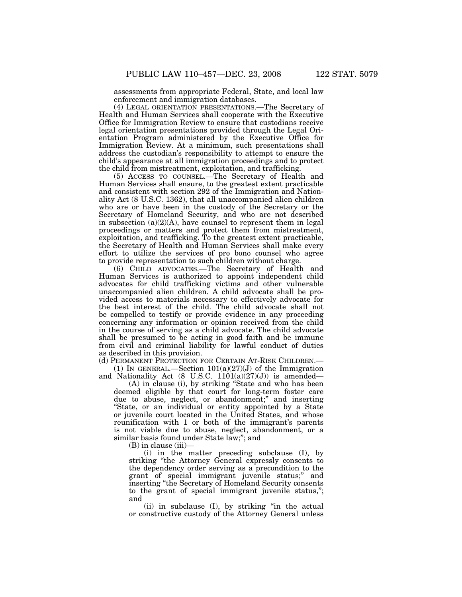assessments from appropriate Federal, State, and local law enforcement and immigration databases.

(4) LEGAL ORIENTATION PRESENTATIONS.—The Secretary of Health and Human Services shall cooperate with the Executive Office for Immigration Review to ensure that custodians receive legal orientation presentations provided through the Legal Orientation Program administered by the Executive Office for Immigration Review. At a minimum, such presentations shall address the custodian's responsibility to attempt to ensure the child's appearance at all immigration proceedings and to protect the child from mistreatment, exploitation, and trafficking.

(5) ACCESS TO COUNSEL.—The Secretary of Health and Human Services shall ensure, to the greatest extent practicable and consistent with section 292 of the Immigration and Nationality Act (8 U.S.C. 1362), that all unaccompanied alien children who are or have been in the custody of the Secretary or the Secretary of Homeland Security, and who are not described in subsection  $(a)(2)(A)$ , have counsel to represent them in legal proceedings or matters and protect them from mistreatment, exploitation, and trafficking. To the greatest extent practicable, the Secretary of Health and Human Services shall make every effort to utilize the services of pro bono counsel who agree to provide representation to such children without charge.

(6) CHILD ADVOCATES.—The Secretary of Health and Human Services is authorized to appoint independent child advocates for child trafficking victims and other vulnerable unaccompanied alien children. A child advocate shall be provided access to materials necessary to effectively advocate for the best interest of the child. The child advocate shall not be compelled to testify or provide evidence in any proceeding concerning any information or opinion received from the child in the course of serving as a child advocate. The child advocate shall be presumed to be acting in good faith and be immune from civil and criminal liability for lawful conduct of duties as described in this provision.

(d) PERMANENT PROTECTION FOR CERTAIN AT-RISK CHILDREN.— (1) IN GENERAL.—Section 101(a)(27)(J) of the Immigration

and Nationality Act (8 U.S.C.  $1101(a)(27)(J)$ ) is amended—

(A) in clause (i), by striking ''State and who has been deemed eligible by that court for long-term foster care due to abuse, neglect, or abandonment;'' and inserting ''State, or an individual or entity appointed by a State or juvenile court located in the United States, and whose reunification with 1 or both of the immigrant's parents is not viable due to abuse, neglect, abandonment, or a similar basis found under State law;"; and

 $(B)$  in clause (iii)

(i) in the matter preceding subclause (I), by striking ''the Attorney General expressly consents to the dependency order serving as a precondition to the grant of special immigrant juvenile status;'' and inserting ''the Secretary of Homeland Security consents to the grant of special immigrant juvenile status,''; and

(ii) in subclause (I), by striking ''in the actual or constructive custody of the Attorney General unless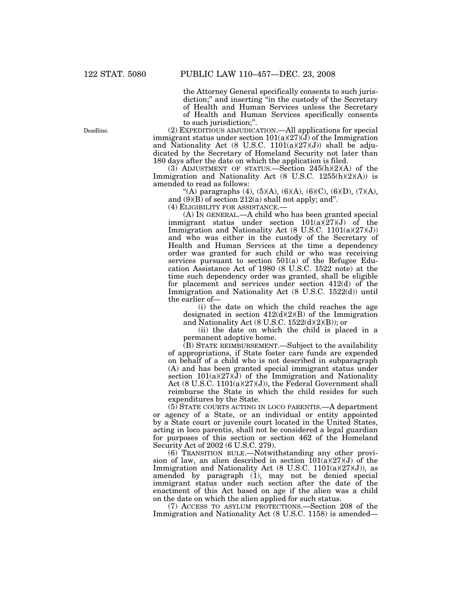the Attorney General specifically consents to such jurisdiction;" and inserting "in the custody of the Secretary of Health and Human Services unless the Secretary of Health and Human Services specifically consents to such jurisdiction;''.

(2) EXPEDITIOUS ADJUDICATION.—All applications for special immigrant status under section  $101(a)(27)(\tilde{J})$  of the Immigration and Nationality Act (8 U.S.C. 1101(a)(27)(J)) shall be adjudicated by the Secretary of Homeland Security not later than 180 days after the date on which the application is filed.

(3) ADJUSTMENT OF STATUS.—Section  $245(h)(2)(A)$  of the Immigration and Nationality Act  $(8 \text{ U.S.C. } 1255(\text{h})(2)(\text{A}))$  is amended to read as follows:

"(A) paragraphs (4), (5)(A), (6)(A), (6)(C), (6)(D), (7)(A), and  $(9)(B)$  of section 212(a) shall not apply; and".

(4) ELIGIBILITY FOR ASSISTANCE.—

(A) IN GENERAL.—A child who has been granted special immigrant status under section 101(a)(27)(J) of the Immigration and Nationality Act  $(8 \text{ U.S.C. } 1101(a)(27)(J))$ and who was either in the custody of the Secretary of Health and Human Services at the time a dependency order was granted for such child or who was receiving services pursuant to section 501(a) of the Refugee Education Assistance Act of 1980 (8 U.S.C. 1522 note) at the time such dependency order was granted, shall be eligible for placement and services under section 412(d) of the Immigration and Nationality Act (8 U.S.C. 1522(d)) until the earlier of—

(i) the date on which the child reaches the age designated in section 412(d)(2)(B) of the Immigration and Nationality Act (8 U.S.C. 1522(d)(2)(B)); or

(ii) the date on which the child is placed in a permanent adoptive home.

(B) STATE REIMBURSEMENT.—Subject to the availability of appropriations, if State foster care funds are expended on behalf of a child who is not described in subparagraph (A) and has been granted special immigrant status under section  $101(a)(27)(J)$  of the Immigration and Nationality Act (8 U.S.C. 1101(a)(27)(J)), the Federal Government shall reimburse the State in which the child resides for such expenditures by the State.

(5) STATE COURTS ACTING IN LOCO PARENTIS.—A department or agency of a State, or an individual or entity appointed by a State court or juvenile court located in the United States, acting in loco parentis, shall not be considered a legal guardian for purposes of this section or section 462 of the Homeland Security Act of 2002 (6 U.S.C. 279).

(6) TRANSITION RULE.—Notwithstanding any other provision of law, an alien described in section  $101(a)(27)(J)$  of the Immigration and Nationality Act (8 U.S.C. 1101(a)(27)(J)), as amended by paragraph (1), may not be denied special immigrant status under such section after the date of the enactment of this Act based on age if the alien was a child on the date on which the alien applied for such status.

(7) ACCESS TO ASYLUM PROTECTIONS.—Section 208 of the Immigration and Nationality Act (8 U.S.C. 1158) is amended—

Deadline.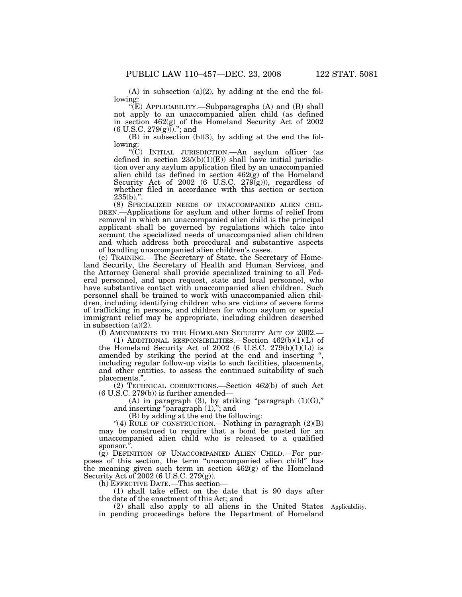$(A)$  in subsection  $(a)(2)$ , by adding at the end the following:

"(E) APPLICABILITY.—Subparagraphs (A) and (B) shall not apply to an unaccompanied alien child (as defined in section  $462(g)$  of the Homeland Security Act of  $2002$  $(6 \text{ U.S.C. } 279(g)))$ ."; and

(B) in subsection (b)(3), by adding at the end the following:

''(C) INITIAL JURISDICTION.—An asylum officer (as defined in section  $235(b)(1)(E)$  shall have initial jurisdiction over any asylum application filed by an unaccompanied alien child (as defined in section  $462(g)$  of the Homeland Security Act of  $2002$  (6 U.S.C.  $279(g)$ ), regardless of whether filed in accordance with this section or section  $235(b)$ .".

(8) SPECIALIZED NEEDS OF UNACCOMPANIED ALIEN CHIL-DREN.—Applications for asylum and other forms of relief from removal in which an unaccompanied alien child is the principal applicant shall be governed by regulations which take into account the specialized needs of unaccompanied alien children and which address both procedural and substantive aspects of handling unaccompanied alien children's cases.

(e) TRAINING.—The Secretary of State, the Secretary of Homeland Security, the Secretary of Health and Human Services, and the Attorney General shall provide specialized training to all Federal personnel, and upon request, state and local personnel, who have substantive contact with unaccompanied alien children. Such personnel shall be trained to work with unaccompanied alien children, including identifying children who are victims of severe forms of trafficking in persons, and children for whom asylum or special immigrant relief may be appropriate, including children described in subsection (a)(2).

(f) AMENDMENTS TO THE HOMELAND SECURITY ACT OF 2002.—

(1) ADDITIONAL RESPONSIBILITIES.—Section  $462(b)(1)(L)$  of the Homeland Security Act of 2002 (6 U.S.C. 279 $(b)(1)(L))$  is amended by striking the period at the end and inserting '', including regular follow-up visits to such facilities, placements, and other entities, to assess the continued suitability of such placements.''.

(2) TECHNICAL CORRECTIONS.—Section 462(b) of such Act (6 U.S.C. 279(b)) is further amended—

(A) in paragraph  $(3)$ , by striking "paragraph  $(1)(G)$ ," and inserting "paragraph  $(1)$ ,"; and

(B) by adding at the end the following:

"(4) RULE OF CONSTRUCTION.—Nothing in paragraph (2)(B) may be construed to require that a bond be posted for an unaccompanied alien child who is released to a qualified sponsor.''.

(g) DEFINITION OF UNACCOMPANIED ALIEN CHILD.—For purposes of this section, the term ''unaccompanied alien child'' has the meaning given such term in section  $462(g)$  of the Homeland Security Act of 2002 (6 U.S.C. 279(g)).

(h) EFFECTIVE DATE.—This section—

(1) shall take effect on the date that is 90 days after the date of the enactment of this Act; and

(2) shall also apply to all aliens in the United States in pending proceedings before the Department of Homeland

Applicability.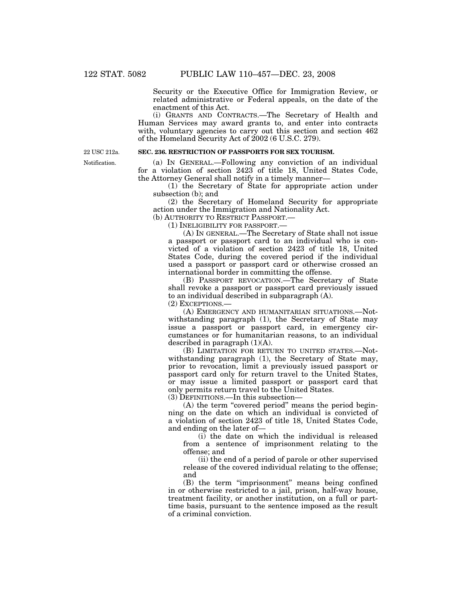Security or the Executive Office for Immigration Review, or related administrative or Federal appeals, on the date of the enactment of this Act.

(i) GRANTS AND CONTRACTS.—The Secretary of Health and Human Services may award grants to, and enter into contracts with, voluntary agencies to carry out this section and section 462 of the Homeland Security Act of 2002 (6 U.S.C. 279).

**SEC. 236. RESTRICTION OF PASSPORTS FOR SEX TOURISM.** 

(a) IN GENERAL.—Following any conviction of an individual for a violation of section 2423 of title 18, United States Code, the Attorney General shall notify in a timely manner—

(1) the Secretary of State for appropriate action under subsection (b); and

(2) the Secretary of Homeland Security for appropriate action under the Immigration and Nationality Act.

(b) AUTHORITY TO RESTRICT PASSPORT.—

(1) INELIGIBILITY FOR PASSPORT.—

(A) IN GENERAL.—The Secretary of State shall not issue a passport or passport card to an individual who is convicted of a violation of section 2423 of title 18, United States Code, during the covered period if the individual used a passport or passport card or otherwise crossed an international border in committing the offense.

(B) PASSPORT REVOCATION.—The Secretary of State shall revoke a passport or passport card previously issued to an individual described in subparagraph (A).

(2) EXCEPTIONS.—

(A) EMERGENCY AND HUMANITARIAN SITUATIONS.—Notwithstanding paragraph (1), the Secretary of State may issue a passport or passport card, in emergency circumstances or for humanitarian reasons, to an individual described in paragraph  $(1)(A)$ .

(B) LIMITATION FOR RETURN TO UNITED STATES.—Notwithstanding paragraph (1), the Secretary of State may, prior to revocation, limit a previously issued passport or passport card only for return travel to the United States, or may issue a limited passport or passport card that only permits return travel to the United States.

(3) DEFINITIONS.—In this subsection—

(A) the term "covered period" means the period beginning on the date on which an individual is convicted of a violation of section 2423 of title 18, United States Code, and ending on the later of—

(i) the date on which the individual is released from a sentence of imprisonment relating to the offense; and

(ii) the end of a period of parole or other supervised release of the covered individual relating to the offense; and

(B) the term ''imprisonment'' means being confined in or otherwise restricted to a jail, prison, half-way house, treatment facility, or another institution, on a full or parttime basis, pursuant to the sentence imposed as the result of a criminal conviction.

22 USC 212a.

Notification.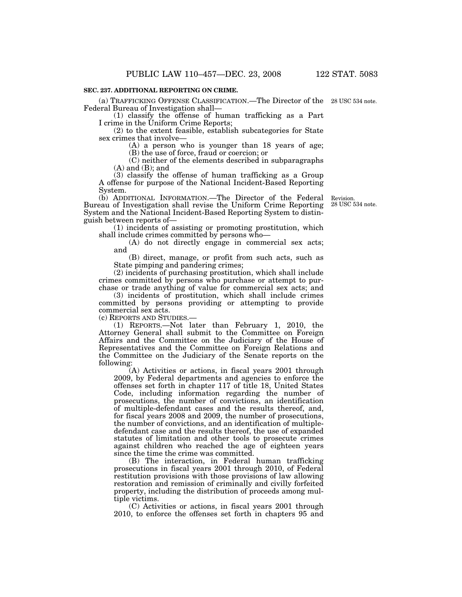### **SEC. 237. ADDITIONAL REPORTING ON CRIME.**

(a) TRAFFICKING OFFENSE CLASSIFICATION.—The Director of the 28 USC 534 note. Federal Bureau of Investigation shall—

(1) classify the offense of human trafficking as a Part I crime in the Uniform Crime Reports;

(2) to the extent feasible, establish subcategories for State sex crimes that involve—

(A) a person who is younger than 18 years of age; (B) the use of force, fraud or coercion; or

(C) neither of the elements described in subparagraphs  $(A)$  and  $(B)$ ; and

(3) classify the offense of human trafficking as a Group A offense for purpose of the National Incident-Based Reporting System.

(b) ADDITIONAL INFORMATION.—The Director of the Federal Bureau of Investigation shall revise the Uniform Crime Reporting System and the National Incident-Based Reporting System to distinguish between reports of—

(1) incidents of assisting or promoting prostitution, which shall include crimes committed by persons who—

(A) do not directly engage in commercial sex acts; and

(B) direct, manage, or profit from such acts, such as State pimping and pandering crimes;

(2) incidents of purchasing prostitution, which shall include crimes committed by persons who purchase or attempt to purchase or trade anything of value for commercial sex acts; and

(3) incidents of prostitution, which shall include crimes committed by persons providing or attempting to provide commercial sex acts.

(c) REPORTS AND STUDIES.—

(1) REPORTS.—Not later than February 1, 2010, the Attorney General shall submit to the Committee on Foreign Affairs and the Committee on the Judiciary of the House of Representatives and the Committee on Foreign Relations and the Committee on the Judiciary of the Senate reports on the following:

(A) Activities or actions, in fiscal years 2001 through 2009, by Federal departments and agencies to enforce the offenses set forth in chapter 117 of title 18, United States Code, including information regarding the number of prosecutions, the number of convictions, an identification of multiple-defendant cases and the results thereof, and, for fiscal years 2008 and 2009, the number of prosecutions, the number of convictions, and an identification of multipledefendant case and the results thereof, the use of expanded statutes of limitation and other tools to prosecute crimes against children who reached the age of eighteen years since the time the crime was committed.

(B) The interaction, in Federal human trafficking prosecutions in fiscal years 2001 through 2010, of Federal restitution provisions with those provisions of law allowing restoration and remission of criminally and civilly forfeited property, including the distribution of proceeds among multiple victims.

(C) Activities or actions, in fiscal years 2001 through 2010, to enforce the offenses set forth in chapters 95 and

Revision. 28 USC 534 note.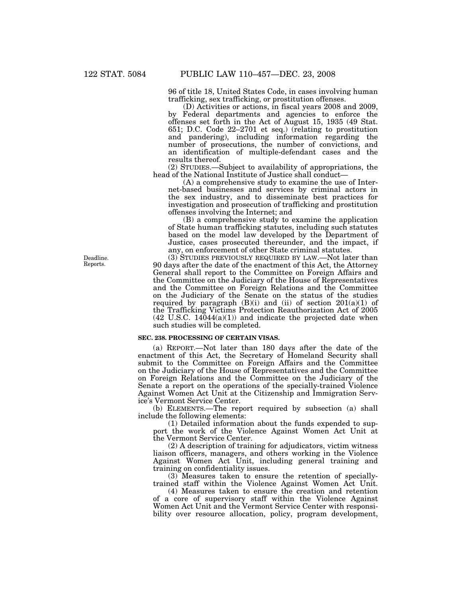96 of title 18, United States Code, in cases involving human trafficking, sex trafficking, or prostitution offenses.

(D) Activities or actions, in fiscal years 2008 and 2009, by Federal departments and agencies to enforce the offenses set forth in the Act of August 15, 1935 (49 Stat. 651; D.C. Code 22–2701 et seq.) (relating to prostitution and pandering), including information regarding the number of prosecutions, the number of convictions, and an identification of multiple-defendant cases and the results thereof.

(2) STUDIES.—Subject to availability of appropriations, the head of the National Institute of Justice shall conduct—

(A) a comprehensive study to examine the use of Internet-based businesses and services by criminal actors in the sex industry, and to disseminate best practices for investigation and prosecution of trafficking and prostitution offenses involving the Internet; and

(B) a comprehensive study to examine the application of State human trafficking statutes, including such statutes based on the model law developed by the Department of Justice, cases prosecuted thereunder, and the impact, if any, on enforcement of other State criminal statutes.

(3) STUDIES PREVIOUSLY REQUIRED BY LAW.—Not later than 90 days after the date of the enactment of this Act, the Attorney General shall report to the Committee on Foreign Affairs and the Committee on the Judiciary of the House of Representatives and the Committee on Foreign Relations and the Committee on the Judiciary of the Senate on the status of the studies required by paragraph  $(B)(i)$  and  $(ii)$  of section  $201(a)(1)$  of the Trafficking Victims Protection Reauthorization Act of 2005  $(42 \text{ U.S.C. } 14044(a)(1))$  and indicate the projected date when such studies will be completed.

### **SEC. 238. PROCESSING OF CERTAIN VISAS.**

(a) REPORT.—Not later than 180 days after the date of the enactment of this Act, the Secretary of Homeland Security shall submit to the Committee on Foreign Affairs and the Committee on the Judiciary of the House of Representatives and the Committee on Foreign Relations and the Committee on the Judiciary of the Senate a report on the operations of the specially-trained Violence Against Women Act Unit at the Citizenship and Immigration Service's Vermont Service Center.

(b) ELEMENTS.—The report required by subsection (a) shall include the following elements:

(1) Detailed information about the funds expended to support the work of the Violence Against Women Act Unit at the Vermont Service Center.

(2) A description of training for adjudicators, victim witness liaison officers, managers, and others working in the Violence Against Women Act Unit, including general training and training on confidentiality issues.

(3) Measures taken to ensure the retention of speciallytrained staff within the Violence Against Women Act Unit.

(4) Measures taken to ensure the creation and retention of a core of supervisory staff within the Violence Against Women Act Unit and the Vermont Service Center with responsibility over resource allocation, policy, program development,

Deadline. Reports.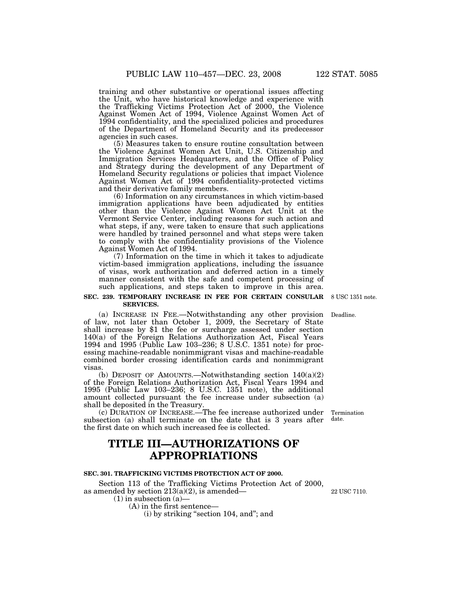training and other substantive or operational issues affecting the Unit, who have historical knowledge and experience with the Trafficking Victims Protection Act of 2000, the Violence Against Women Act of 1994, Violence Against Women Act of 1994 confidentiality, and the specialized policies and procedures of the Department of Homeland Security and its predecessor agencies in such cases.

(5) Measures taken to ensure routine consultation between the Violence Against Women Act Unit, U.S. Citizenship and Immigration Services Headquarters, and the Office of Policy and Strategy during the development of any Department of Homeland Security regulations or policies that impact Violence Against Women Act of 1994 confidentiality-protected victims and their derivative family members.

(6) Information on any circumstances in which victim-based immigration applications have been adjudicated by entities other than the Violence Against Women Act Unit at the Vermont Service Center, including reasons for such action and what steps, if any, were taken to ensure that such applications were handled by trained personnel and what steps were taken to comply with the confidentiality provisions of the Violence Against Women Act of 1994.

(7) Information on the time in which it takes to adjudicate victim-based immigration applications, including the issuance of visas, work authorization and deferred action in a timely manner consistent with the safe and competent processing of such applications, and steps taken to improve in this area.

#### **SEC. 239. TEMPORARY INCREASE IN FEE FOR CERTAIN CONSULAR**  8 USC 1351 note. **SERVICES.**

(a) INCREASE IN FEE.—Notwithstanding any other provision of law, not later than October 1, 2009, the Secretary of State shall increase by \$1 the fee or surcharge assessed under section 140(a) of the Foreign Relations Authorization Act, Fiscal Years 1994 and 1995 (Public Law 103–236; 8 U.S.C. 1351 note) for processing machine-readable nonimmigrant visas and machine-readable combined border crossing identification cards and nonimmigrant visas.

(b) DEPOSIT OF AMOUNTS.—Notwithstanding section  $140(a)(2)$ of the Foreign Relations Authorization Act, Fiscal Years 1994 and 1995 (Public Law 103–236; 8 U.S.C. 1351 note), the additional amount collected pursuant the fee increase under subsection (a) shall be deposited in the Treasury.

(c) DURATION OF INCREASE.—The fee increase authorized under subsection (a) shall terminate on the date that is 3 years after the first date on which such increased fee is collected.

# **TITLE III—AUTHORIZATIONS OF APPROPRIATIONS**

### **SEC. 301. TRAFFICKING VICTIMS PROTECTION ACT OF 2000.**

Section 113 of the Trafficking Victims Protection Act of 2000, as amended by section  $213(a)(2)$ , is amended—

 $(1)$  in subsection  $(a)$ 

(A) in the first sentence—

(i) by striking ''section 104, and''; and

22 USC 7110.

Termination date.

Deadline.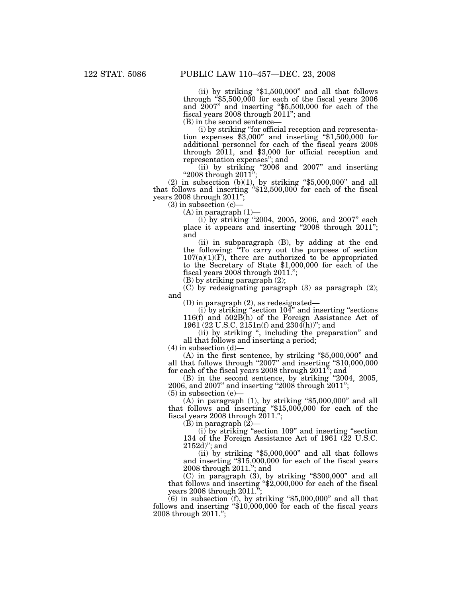(ii) by striking ''\$1,500,000'' and all that follows through ''\$5,500,000 for each of the fiscal years 2006 and 2007'' and inserting ''\$5,500,000 for each of the fiscal years 2008 through 2011''; and

(B) in the second sentence—

(i) by striking ''for official reception and representation expenses  $$3,000"$  and inserting " $$1,500,000$  for additional personnel for each of the fiscal years 2008 through 2011, and \$3,000 for official reception and representation expenses''; and

(ii) by striking ''2006 and 2007'' and inserting ''2008 through 2011'';

(2) in subsection  $(b)(1)$ , by striking "\$5,000,000" and all that follows and inserting ''\$12,500,000 for each of the fiscal years 2008 through 2011'';

 $(3)$  in subsection  $(c)$ –

 $(A)$  in paragraph  $(1)$ —

(i) by striking ''2004, 2005, 2006, and 2007'' each place it appears and inserting "2008 through 2011"; and

(ii) in subparagraph (B), by adding at the end the following: ''To carry out the purposes of section  $107(a)(1)(F)$ , there are authorized to be appropriated to the Secretary of State \$1,000,000 for each of the fiscal years 2008 through 2011.'';

(B) by striking paragraph (2);

(C) by redesignating paragraph (3) as paragraph (2); and

(D) in paragraph (2), as redesignated—

 $(i)$  by striking "section  $104$ " and inserting "sections" 116(f) and 502B(h) of the Foreign Assistance Act of 1961 (22 U.S.C. 2151n(f) and 2304(h))''; and

(ii) by striking '', including the preparation'' and all that follows and inserting a period;

 $(4)$  in subsection  $(d)$ –

(A) in the first sentence, by striking ''\$5,000,000'' and all that follows through "2007" and inserting "\$10,000,000 for each of the fiscal years 2008 through 2011''; and

(B) in the second sentence, by striking ''2004, 2005, 2006, and 2007" and inserting "2008 through 2011";

 $(5)$  in subsection  $(e)$ 

 $(A)$  in paragraph  $(1)$ , by striking "\$5,000,000" and all that follows and inserting ''\$15,000,000 for each of the fiscal years 2008 through 2011.'';

(B) in paragraph (2)—

(i) by striking ''section 109'' and inserting ''section 134 of the Foreign Assistance Act of 1961 (22 U.S.C. 2152d)''; and

(ii) by striking ''\$5,000,000'' and all that follows and inserting ''\$15,000,000 for each of the fiscal years 2008 through 2011.''; and

(C) in paragraph (3), by striking ''\$300,000'' and all that follows and inserting ''\$2,000,000 for each of the fiscal years 2008 through 2011.'';

 $(6)$  in subsection  $(f)$ , by striking "\$5,000,000" and all that follows and inserting  $\sqrt[4]{10,000,000}$  for each of the fiscal years 2008 through 2011.'';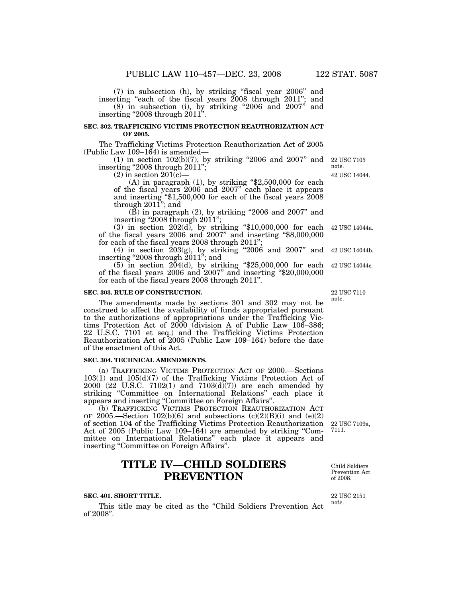(7) in subsection (h), by striking ''fiscal year 2006'' and inserting "each of the fiscal years 2008 through 2011"; and (8) in subsection (i), by striking ''2006 and 2007'' and inserting "2008 through 2011"

### **SEC. 302. TRAFFICKING VICTIMS PROTECTION REAUTHORIZATION ACT OF 2005.**

The Trafficking Victims Protection Reauthorization Act of 2005 (Public Law  $109-164$ ) is amended—

 $(1)$  in section 102 $(b)(7)$ , by striking "2006 and 2007" and inserting "2008 through 2011"; 22 USC 7105 note.

 $(2)$  in section  $201(c)$ 

 $(A)$  in paragraph  $(1)$ , by striking "\$2,500,000 for each of the fiscal years 2006 and 2007'' each place it appears and inserting ''\$1,500,000 for each of the fiscal years 2008  $through 2011$ "; and

(B) in paragraph (2), by striking ''2006 and 2007'' and inserting "2008 through 2011";

(3) in section 202(d), by striking " $$10,000,000$  for each of the fiscal years 2006 and 2007" and inserting " $$8,000,000$ for each of the fiscal years 2008 through 2011'';

(4) in section 203(g), by striking ''2006 and 2007'' and 42 USC 14044b.

 $(5)$  in section  $204(d)$ , by striking "\$25,000,000 for each of the fiscal years 2006 and 2007" and inserting "\$20,000,000 for each of the fiscal years 2008 through 2011''.

### **SEC. 303. RULE OF CONSTRUCTION.**

The amendments made by sections 301 and 302 may not be construed to affect the availability of funds appropriated pursuant to the authorizations of appropriations under the Trafficking Victims Protection Act of  $2000$  (division A of Public Law 106–386; 22 U.S.C. 7101 et seq.) and the Trafficking Victims Protection Reauthorization Act of 2005 (Public Law 109–164) before the date of the enactment of this Act.

### **SEC. 304. TECHNICAL AMENDMENTS.**

(a) TRAFFICKING VICTIMS PROTECTION ACT OF 2000.—Sections 103(1) and 105(d)(7) of the Trafficking Victims Protection Act of 2000 (22 U.S.C. 7102(1) and 7103(d)(7)) are each amended by striking ''Committee on International Relations'' each place it appears and inserting ''Committee on Foreign Affairs''.

(b) TRAFFICKING VICTIMS PROTECTION REAUTHORIZATION ACT OF 2005.—Section 102(b)(6) and subsections  $(c)(2)(B)(i)$  and  $(e)(2)$ of section 104 of the Trafficking Victims Protection Reauthorization Act of 2005 (Public Law 109–164) are amended by striking "Committee on International Relations'' each place it appears and inserting "Committee on Foreign Affairs". 22 USC 7109a,

# **TITLE IV—CHILD SOLDIERS PREVENTION**

### **SEC. 401. SHORT TITLE.**

This title may be cited as the ''Child Soldiers Prevention Act of 2008''.

Prevention Act of 2008.

Child Soldiers

7111.

22 USC 2151 note.

22 USC 7110 note.

42 USC 14044a.

42 USC 14044.

42 USC 14044c.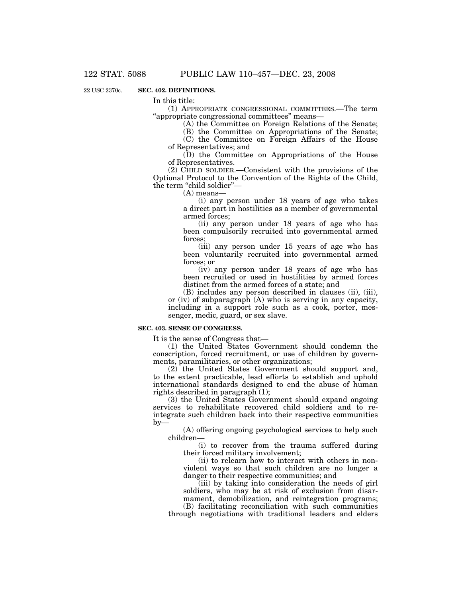22 USC 2370c.

# **SEC. 402. DEFINITIONS.**

In this title:

(1) APPROPRIATE CONGRESSIONAL COMMITTEES.—The term ''appropriate congressional committees'' means—

(A) the Committee on Foreign Relations of the Senate;

(B) the Committee on Appropriations of the Senate;

(C) the Committee on Foreign Affairs of the House of Representatives; and

(D) the Committee on Appropriations of the House of Representatives.

(2) CHILD SOLDIER.—Consistent with the provisions of the Optional Protocol to the Convention of the Rights of the Child, the term "child soldier"-

(A) means—

(i) any person under 18 years of age who takes a direct part in hostilities as a member of governmental armed forces;

(ii) any person under 18 years of age who has been compulsorily recruited into governmental armed forces;

(iii) any person under 15 years of age who has been voluntarily recruited into governmental armed forces; or

(iv) any person under 18 years of age who has been recruited or used in hostilities by armed forces distinct from the armed forces of a state; and

(B) includes any person described in clauses (ii), (iii), or (iv) of subparagraph (A) who is serving in any capacity, including in a support role such as a cook, porter, messenger, medic, guard, or sex slave.

# **SEC. 403. SENSE OF CONGRESS.**

It is the sense of Congress that—

(1) the United States Government should condemn the conscription, forced recruitment, or use of children by governments, paramilitaries, or other organizations;

(2) the United States Government should support and, to the extent practicable, lead efforts to establish and uphold international standards designed to end the abuse of human rights described in paragraph (1);

(3) the United States Government should expand ongoing services to rehabilitate recovered child soldiers and to reintegrate such children back into their respective communities  $by-$ 

(A) offering ongoing psychological services to help such children—

(i) to recover from the trauma suffered during their forced military involvement;

(ii) to relearn how to interact with others in nonviolent ways so that such children are no longer a danger to their respective communities; and

(iii) by taking into consideration the needs of girl soldiers, who may be at risk of exclusion from disarmament, demobilization, and reintegration programs;

(B) facilitating reconciliation with such communities through negotiations with traditional leaders and elders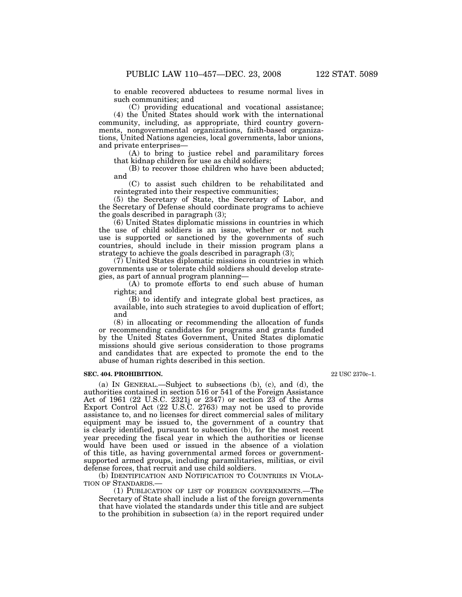to enable recovered abductees to resume normal lives in such communities; and

(C) providing educational and vocational assistance; (4) the United States should work with the international community, including, as appropriate, third country governments, nongovernmental organizations, faith-based organizations, United Nations agencies, local governments, labor unions, and private enterprises—

(A) to bring to justice rebel and paramilitary forces that kidnap children for use as child soldiers;

(B) to recover those children who have been abducted; and

(C) to assist such children to be rehabilitated and reintegrated into their respective communities;

(5) the Secretary of State, the Secretary of Labor, and the Secretary of Defense should coordinate programs to achieve the goals described in paragraph (3);

(6) United States diplomatic missions in countries in which the use of child soldiers is an issue, whether or not such use is supported or sanctioned by the governments of such countries, should include in their mission program plans a strategy to achieve the goals described in paragraph (3);

(7) United States diplomatic missions in countries in which governments use or tolerate child soldiers should develop strategies, as part of annual program planning—

(A) to promote efforts to end such abuse of human rights; and

(B) to identify and integrate global best practices, as available, into such strategies to avoid duplication of effort; and

(8) in allocating or recommending the allocation of funds or recommending candidates for programs and grants funded by the United States Government, United States diplomatic missions should give serious consideration to those programs and candidates that are expected to promote the end to the abuse of human rights described in this section.

### **SEC. 404. PROHIBITION.**

(a) IN GENERAL.—Subject to subsections (b), (c), and (d), the authorities contained in section 516 or 541 of the Foreign Assistance Act of 1961 (22 U.S.C. 2321j or 2347) or section 23 of the Arms Export Control Act (22 U.S.C. 2763) may not be used to provide assistance to, and no licenses for direct commercial sales of military equipment may be issued to, the government of a country that is clearly identified, pursuant to subsection (b), for the most recent year preceding the fiscal year in which the authorities or license would have been used or issued in the absence of a violation of this title, as having governmental armed forces or governmentsupported armed groups, including paramilitaries, militias, or civil defense forces, that recruit and use child soldiers.

(b) IDENTIFICATION AND NOTIFICATION TO COUNTRIES IN VIOLA-TION OF STANDARDS.—

(1) PUBLICATION OF LIST OF FOREIGN GOVERNMENTS.—The Secretary of State shall include a list of the foreign governments that have violated the standards under this title and are subject to the prohibition in subsection (a) in the report required under

22 USC 2370c–1.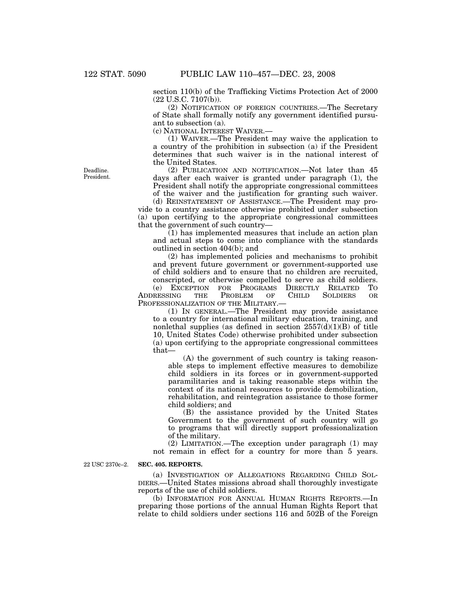section 110(b) of the Trafficking Victims Protection Act of 2000 (22 U.S.C. 7107(b)).

(2) NOTIFICATION OF FOREIGN COUNTRIES.—The Secretary of State shall formally notify any government identified pursuant to subsection (a).

(c) NATIONAL INTEREST WAIVER.—

(1) WAIVER.—The President may waive the application to a country of the prohibition in subsection (a) if the President determines that such waiver is in the national interest of the United States.

(2) PUBLICATION AND NOTIFICATION.—Not later than 45 days after each waiver is granted under paragraph (1), the President shall notify the appropriate congressional committees of the waiver and the justification for granting such waiver.

(d) REINSTATEMENT OF ASSISTANCE.—The President may provide to a country assistance otherwise prohibited under subsection (a) upon certifying to the appropriate congressional committees that the government of such country—

(1) has implemented measures that include an action plan and actual steps to come into compliance with the standards outlined in section 404(b); and

(2) has implemented policies and mechanisms to prohibit and prevent future government or government-supported use of child soldiers and to ensure that no children are recruited, conscripted, or otherwise compelled to serve as child soldiers.

(e) EXCEPTION FOR PROGRAMS DIRECTLY RELATED TO ADDRESSING THE PROBLEM OF CHILD SOLDIERS OR PROFESSIONALIZATION OF THE MILITARY.—

(1) IN GENERAL.—The President may provide assistance to a country for international military education, training, and nonlethal supplies (as defined in section  $2557(d)(1)(B)$  of title 10, United States Code) otherwise prohibited under subsection (a) upon certifying to the appropriate congressional committees that—

(A) the government of such country is taking reasonable steps to implement effective measures to demobilize child soldiers in its forces or in government-supported paramilitaries and is taking reasonable steps within the context of its national resources to provide demobilization, rehabilitation, and reintegration assistance to those former child soldiers; and

(B) the assistance provided by the United States Government to the government of such country will go to programs that will directly support professionalization of the military.

(2) LIMITATION.—The exception under paragraph (1) may not remain in effect for a country for more than 5 years.

22 USC 2370c–2.

### **SEC. 405. REPORTS.**

(a) INVESTIGATION OF ALLEGATIONS REGARDING CHILD SOL-DIERS.—United States missions abroad shall thoroughly investigate reports of the use of child soldiers.

(b) INFORMATION FOR ANNUAL HUMAN RIGHTS REPORTS.—In preparing those portions of the annual Human Rights Report that relate to child soldiers under sections 116 and 502B of the Foreign

Deadline. President.